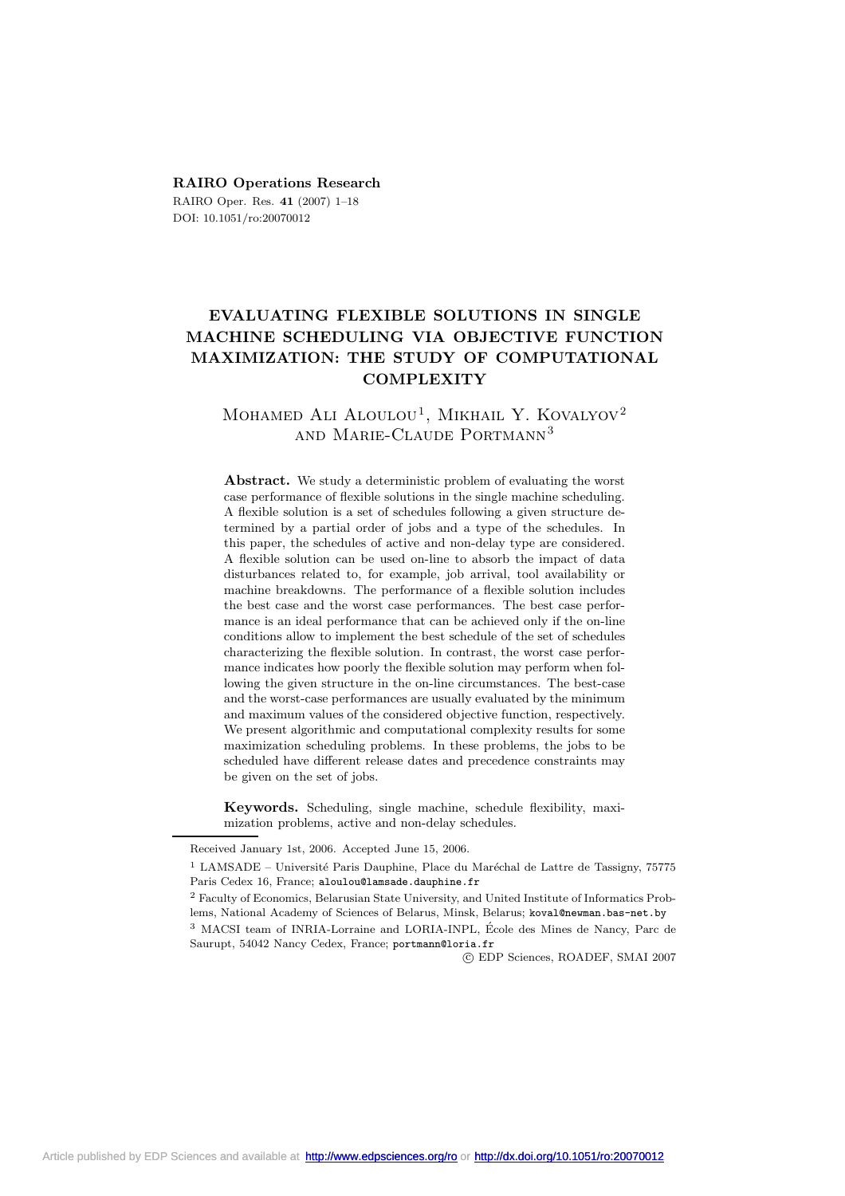#### **RAIRO Operations Research**

RAIRO Oper. Res. **41** (2007) 1–18 DOI: 10.1051/ro:20070012

# **EVALUATING FLEXIBLE SOLUTIONS IN SINGLE MACHINE SCHEDULING VIA OBJECTIVE FUNCTION MAXIMIZATION: THE STUDY OF COMPUTATIONAL COMPLEXITY**

# MOHAMED ALI ALOULOU<sup>1</sup>, MIKHAIL Y. KOVALYOV<sup>2</sup> and Marie-Claude Portmann<sup>3</sup>

**Abstract.** We study a deterministic problem of evaluating the worst case performance of flexible solutions in the single machine scheduling. A flexible solution is a set of schedules following a given structure determined by a partial order of jobs and a type of the schedules. In this paper, the schedules of active and non-delay type are considered. A flexible solution can be used on-line to absorb the impact of data disturbances related to, for example, job arrival, tool availability or machine breakdowns. The performance of a flexible solution includes the best case and the worst case performances. The best case performance is an ideal performance that can be achieved only if the on-line conditions allow to implement the best schedule of the set of schedules characterizing the flexible solution. In contrast, the worst case performance indicates how poorly the flexible solution may perform when following the given structure in the on-line circumstances. The best-case and the worst-case performances are usually evaluated by the minimum and maximum values of the considered objective function, respectively. We present algorithmic and computational complexity results for some maximization scheduling problems. In these problems, the jobs to be scheduled have different release dates and precedence constraints may be given on the set of jobs.

**Keywords.** Scheduling, single machine, schedule flexibility, maximization problems, active and non-delay schedules.

c EDP Sciences, ROADEF, SMAI 2007

Received January 1st, 2006. Accepted June 15, 2006.

 $1$  LAMSADE – Université Paris Dauphine, Place du Maréchal de Lattre de Tassigny, 75775 Paris Cedex 16, France; aloulou@lamsade.dauphine.fr

<sup>2</sup> Faculty of Economics, Belarusian State University, and United Institute of Informatics Problems, National Academy of Sciences of Belarus, Minsk, Belarus; koval@newman.bas-net.by <sup>3</sup> MACSI team of INRIA-Lorraine and LORIA-INPL, Ecole des Mines de Nancy, Parc de ´ Saurupt, 54042 Nancy Cedex, France; portmann@loria.fr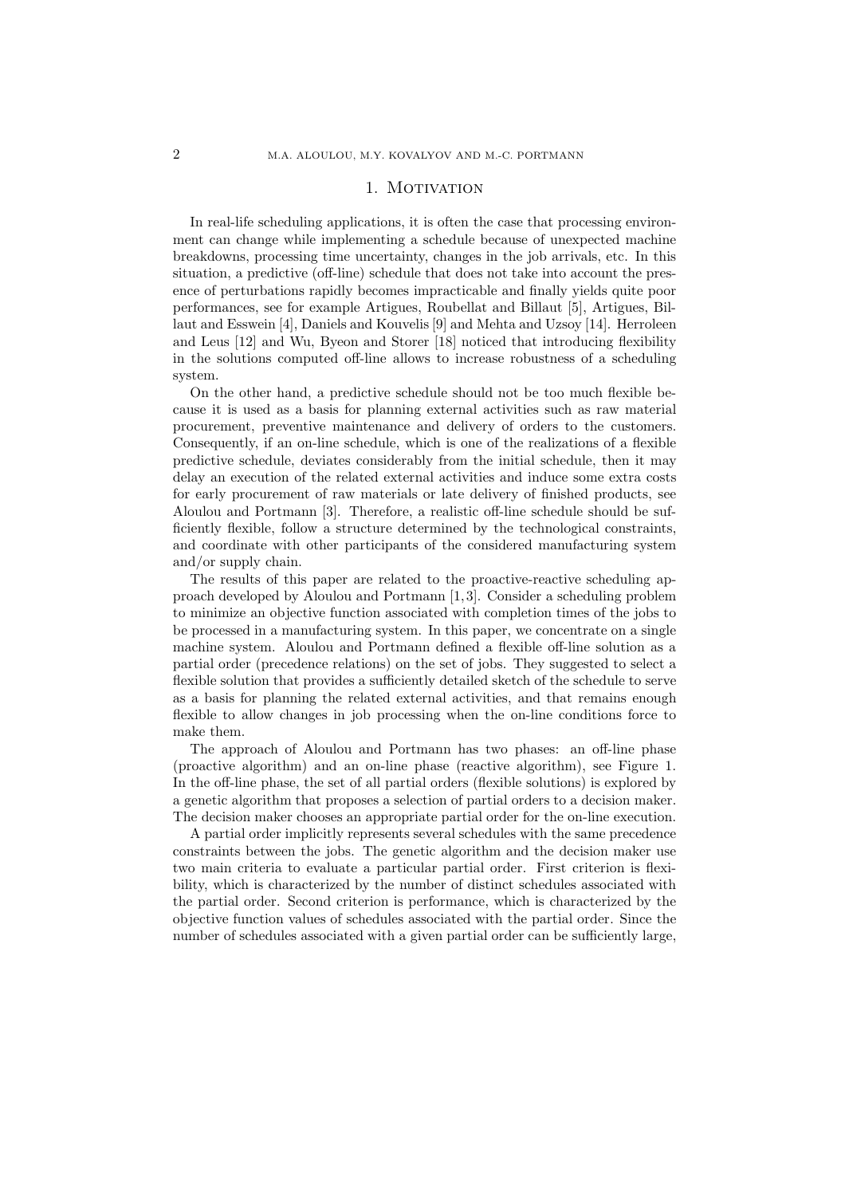## 1. MOTIVATION

In real-life scheduling applications, it is often the case that processing environment can change while implementing a schedule because of unexpected machine breakdowns, processing time uncertainty, changes in the job arrivals, etc. In this situation, a predictive (off-line) schedule that does not take into account the presence of perturbations rapidly becomes impracticable and finally yields quite poor performances, see for example Artigues, Roubellat and Billaut [5], Artigues, Billaut and Esswein [4], Daniels and Kouvelis [9] and Mehta and Uzsoy [14]. Herroleen and Leus [12] and Wu, Byeon and Storer [18] noticed that introducing flexibility in the solutions computed off-line allows to increase robustness of a scheduling system.

On the other hand, a predictive schedule should not be too much flexible because it is used as a basis for planning external activities such as raw material procurement, preventive maintenance and delivery of orders to the customers. Consequently, if an on-line schedule, which is one of the realizations of a flexible predictive schedule, deviates considerably from the initial schedule, then it may delay an execution of the related external activities and induce some extra costs for early procurement of raw materials or late delivery of finished products, see Aloulou and Portmann [3]. Therefore, a realistic off-line schedule should be sufficiently flexible, follow a structure determined by the technological constraints, and coordinate with other participants of the considered manufacturing system and/or supply chain.

The results of this paper are related to the proactive-reactive scheduling approach developed by Aloulou and Portmann [1,3]. Consider a scheduling problem to minimize an objective function associated with completion times of the jobs to be processed in a manufacturing system. In this paper, we concentrate on a single machine system. Aloulou and Portmann defined a flexible off-line solution as a partial order (precedence relations) on the set of jobs. They suggested to select a flexible solution that provides a sufficiently detailed sketch of the schedule to serve as a basis for planning the related external activities, and that remains enough flexible to allow changes in job processing when the on-line conditions force to make them.

The approach of Aloulou and Portmann has two phases: an off-line phase (proactive algorithm) and an on-line phase (reactive algorithm), see Figure 1. In the off-line phase, the set of all partial orders (flexible solutions) is explored by a genetic algorithm that proposes a selection of partial orders to a decision maker. The decision maker chooses an appropriate partial order for the on-line execution.

A partial order implicitly represents several schedules with the same precedence constraints between the jobs. The genetic algorithm and the decision maker use two main criteria to evaluate a particular partial order. First criterion is flexibility, which is characterized by the number of distinct schedules associated with the partial order. Second criterion is performance, which is characterized by the objective function values of schedules associated with the partial order. Since the number of schedules associated with a given partial order can be sufficiently large,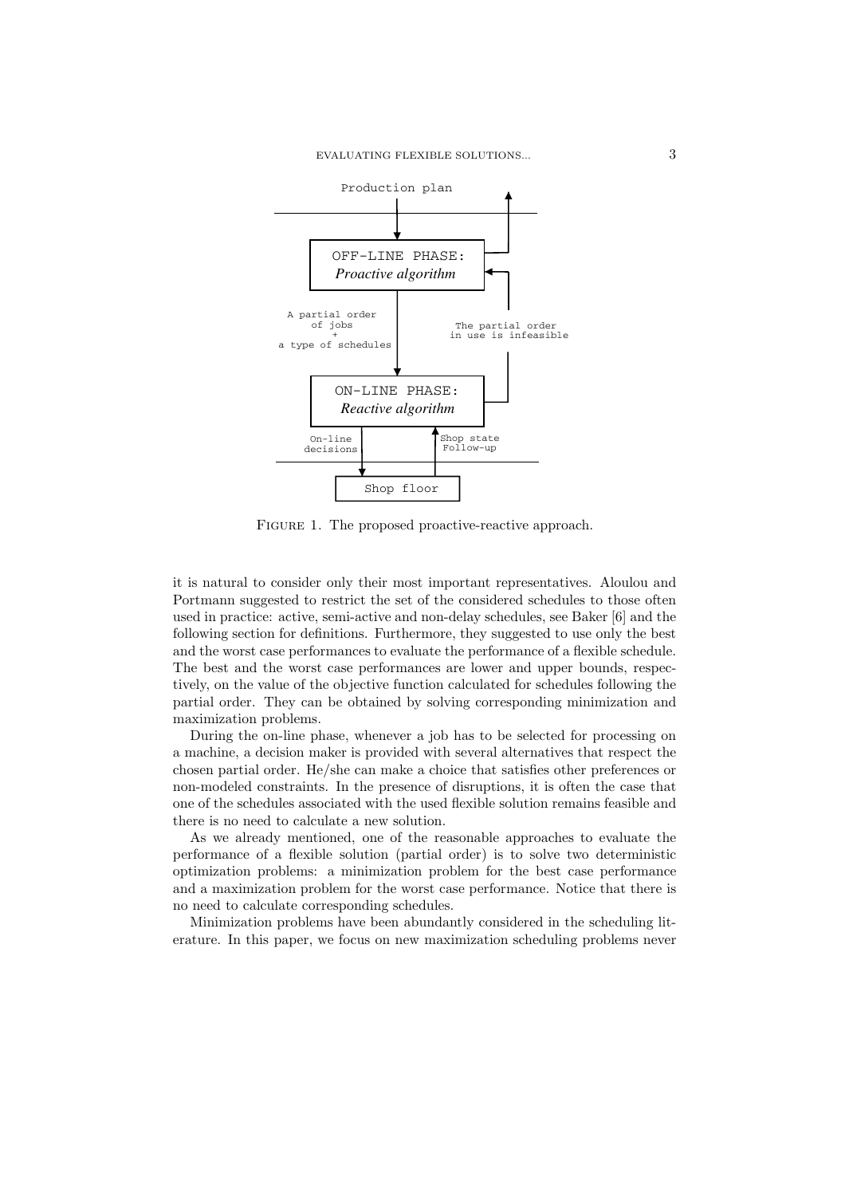

FIGURE 1. The proposed proactive-reactive approach.

it is natural to consider only their most important representatives. Aloulou and Portmann suggested to restrict the set of the considered schedules to those often used in practice: active, semi-active and non-delay schedules, see Baker [6] and the following section for definitions. Furthermore, they suggested to use only the best and the worst case performances to evaluate the performance of a flexible schedule. The best and the worst case performances are lower and upper bounds, respectively, on the value of the objective function calculated for schedules following the partial order. They can be obtained by solving corresponding minimization and maximization problems.

During the on-line phase, whenever a job has to be selected for processing on a machine, a decision maker is provided with several alternatives that respect the chosen partial order. He/she can make a choice that satisfies other preferences or non-modeled constraints. In the presence of disruptions, it is often the case that one of the schedules associated with the used flexible solution remains feasible and there is no need to calculate a new solution.

As we already mentioned, one of the reasonable approaches to evaluate the performance of a flexible solution (partial order) is to solve two deterministic optimization problems: a minimization problem for the best case performance and a maximization problem for the worst case performance. Notice that there is no need to calculate corresponding schedules.

Minimization problems have been abundantly considered in the scheduling literature. In this paper, we focus on new maximization scheduling problems never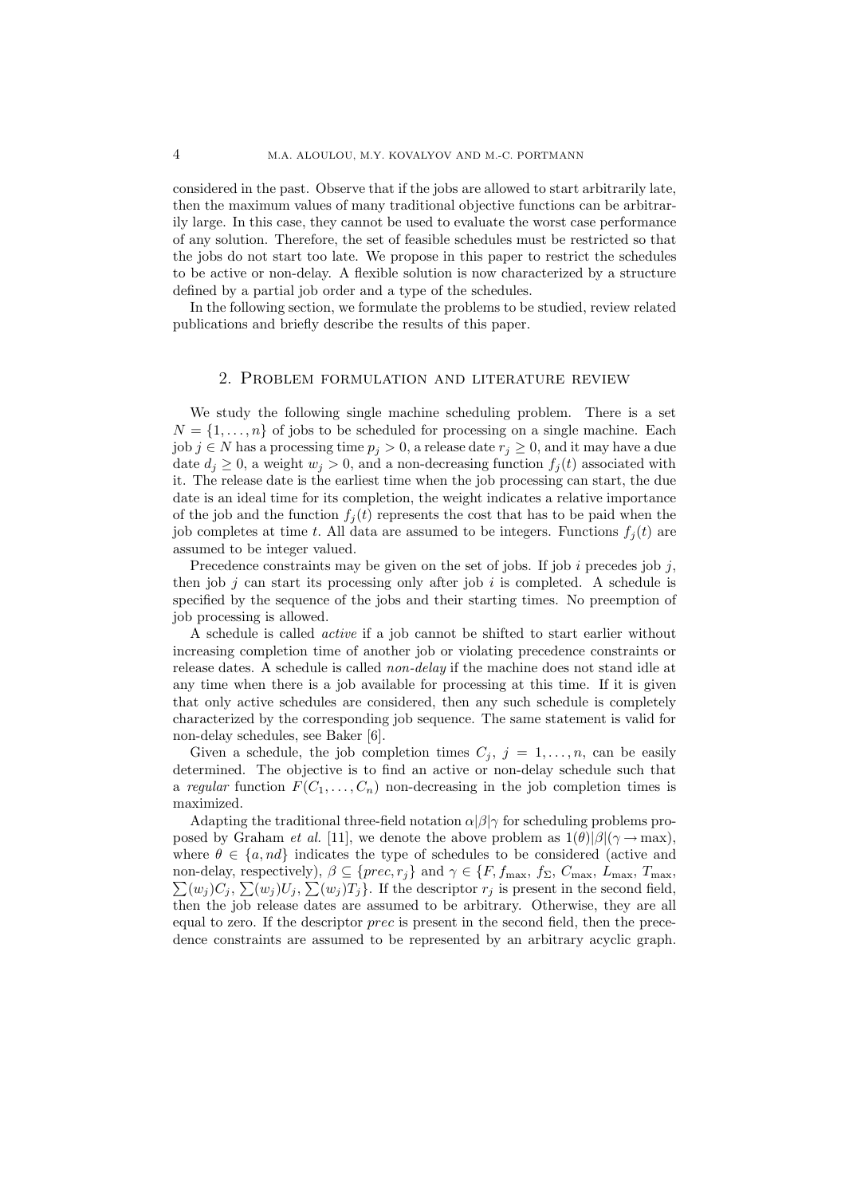considered in the past. Observe that if the jobs are allowed to start arbitrarily late, then the maximum values of many traditional objective functions can be arbitrarily large. In this case, they cannot be used to evaluate the worst case performance of any solution. Therefore, the set of feasible schedules must be restricted so that the jobs do not start too late. We propose in this paper to restrict the schedules to be active or non-delay. A flexible solution is now characterized by a structure defined by a partial job order and a type of the schedules.

In the following section, we formulate the problems to be studied, review related publications and briefly describe the results of this paper.

### 2. PROBLEM FORMULATION AND LITERATURE REVIEW

We study the following single machine scheduling problem. There is a set  $N = \{1, \ldots, n\}$  of jobs to be scheduled for processing on a single machine. Each job  $j \in N$  has a processing time  $p_j > 0$ , a release date  $r_j \geq 0$ , and it may have a due date  $d_i \geq 0$ , a weight  $w_i > 0$ , and a non-decreasing function  $f_i(t)$  associated with it. The release date is the earliest time when the job processing can start, the due date is an ideal time for its completion, the weight indicates a relative importance of the job and the function  $f_i(t)$  represents the cost that has to be paid when the job completes at time t. All data are assumed to be integers. Functions  $f_i(t)$  are assumed to be integer valued.

Precedence constraints may be given on the set of jobs. If job i precedes job j, then job  $j$  can start its processing only after job  $i$  is completed. A schedule is specified by the sequence of the jobs and their starting times. No preemption of job processing is allowed.

A schedule is called *active* if a job cannot be shifted to start earlier without increasing completion time of another job or violating precedence constraints or release dates. A schedule is called *non-delay* if the machine does not stand idle at any time when there is a job available for processing at this time. If it is given that only active schedules are considered, then any such schedule is completely characterized by the corresponding job sequence. The same statement is valid for non-delay schedules, see Baker [6].

Given a schedule, the job completion times  $C_j$ ,  $j = 1, ..., n$ , can be easily determined. The objective is to find an active or non-delay schedule such that a regular function  $F(C_1, \ldots, C_n)$  non-decreasing in the job completion times is maximized.

Adapting the traditional three-field notation  $\alpha|\beta|\gamma$  for scheduling problems proposed by Graham *et al.* [11], we denote the above problem as  $1(\theta)|\beta|(\gamma \to \max)$ , where  $\theta \in \{a, nd\}$  indicates the type of schedules to be considered (active and non-delay, respectively),  $\beta \subseteq \{prec, r_j\}$  and  $\gamma \in \{F, f_{\text{max}}, f_{\Sigma}, C_{\text{max}}, L_{\text{max}}, T_{\text{max}}\}$  $\sum(w_j)C_j$ ,  $\sum(w_j)U_j$ ,  $\sum(w_j)T_j$ . If the descriptor  $r_j$  is present in the second field, then the job release dates are assumed to be arbitrary. Otherwise, they are all equal to zero. If the descriptor *prec* is present in the second field, then the precedence constraints are assumed to be represented by an arbitrary acyclic graph.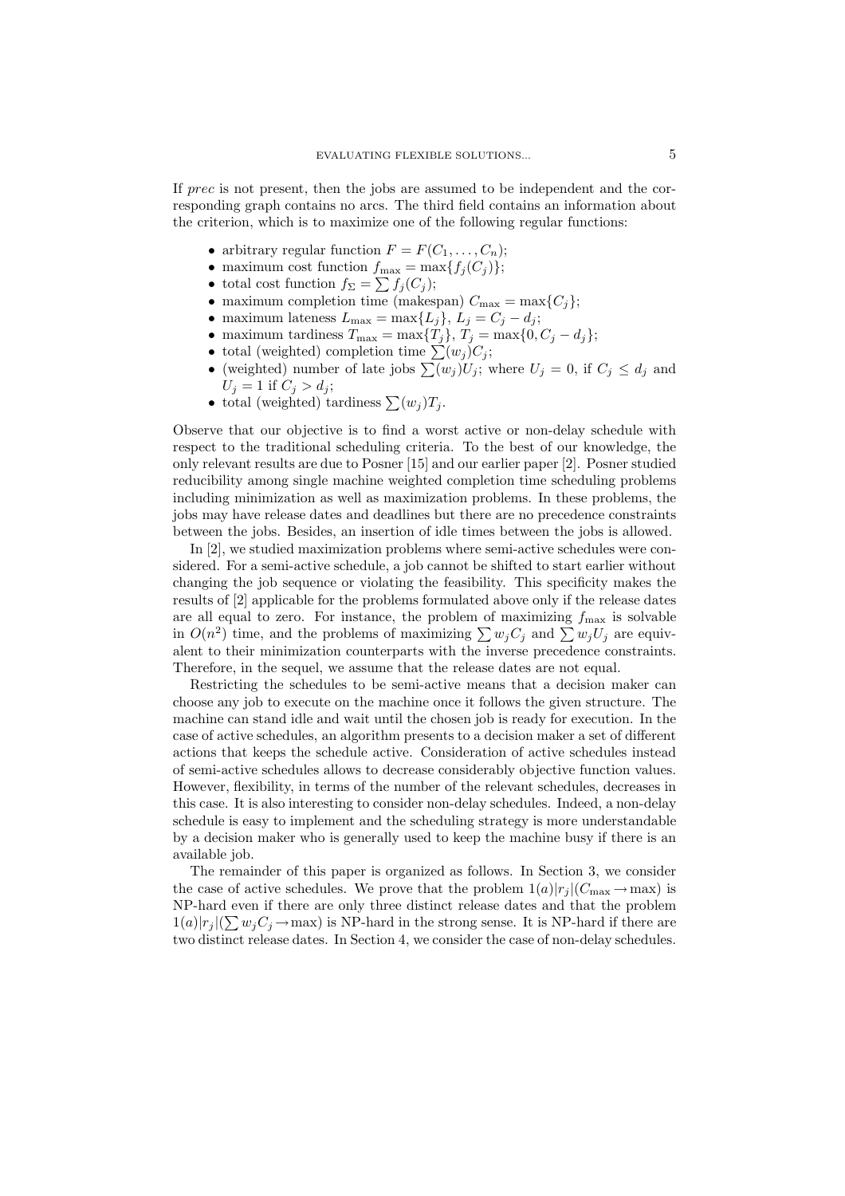If prec is not present, then the jobs are assumed to be independent and the corresponding graph contains no arcs. The third field contains an information about the criterion, which is to maximize one of the following regular functions:

- arbitrary regular function  $F = F(C_1, \ldots, C_n);$
- maximum cost function  $f_{\text{max}} = \max\{f_j(C_j)\};$
- total cost function  $f_{\Sigma} = \sum f_j(C_j);$
- maximum completion time (makespan)  $C_{\text{max}} = \max\{C_j\};$
- maximum lateness  $L_{\text{max}} = \max\{L_j\}, L_j = C_j d_j;$
- maximum tardiness  $T_{\text{max}} = \max\{T_j\}, T_j = \max\{0, C_j d_j\};$
- total (weighted) completion time  $\sum(w_j)C_j$ ;
- (weighted) number of late jobs  $\sum(w_j)U_j$ ; where  $U_j = 0$ , if  $C_j \leq d_j$  and  $U_j = 1$  if  $C_j > d_j$ ;
- total (weighted) tardiness  $\sum (w_i) T_i$ .

Observe that our objective is to find a worst active or non-delay schedule with respect to the traditional scheduling criteria. To the best of our knowledge, the only relevant results are due to Posner [15] and our earlier paper [2]. Posner studied reducibility among single machine weighted completion time scheduling problems including minimization as well as maximization problems. In these problems, the jobs may have release dates and deadlines but there are no precedence constraints between the jobs. Besides, an insertion of idle times between the jobs is allowed.

In  $[2]$ , we studied maximization problems where semi-active schedules were considered. For a semi-active schedule, a job cannot be shifted to start earlier without changing the job sequence or violating the feasibility. This specificity makes the results of [2] applicable for the problems formulated above only if the release dates are all equal to zero. For instance, the problem of maximizing  $f_{\text{max}}$  is solvable in  $O(n^2)$  time, and the problems of maximizing  $\sum w_j C_j$  and  $\sum w_j U_j$  are equivalent to their minimization counterparts with the inverse precedence constraints. Therefore, in the sequel, we assume that the release dates are not equal.

Restricting the schedules to be semi-active means that a decision maker can choose any job to execute on the machine once it follows the given structure. The machine can stand idle and wait until the chosen job is ready for execution. In the case of active schedules, an algorithm presents to a decision maker a set of different actions that keeps the schedule active. Consideration of active schedules instead of semi-active schedules allows to decrease considerably objective function values. However, flexibility, in terms of the number of the relevant schedules, decreases in this case. It is also interesting to consider non-delay schedules. Indeed, a non-delay schedule is easy to implement and the scheduling strategy is more understandable by a decision maker who is generally used to keep the machine busy if there is an available job.

The remainder of this paper is organized as follows. In Section 3, we consider the case of active schedules. We prove that the problem  $1(a)|r_j|(C_{\text{max}} \to \text{max})$  is NP-hard even if there are only three distinct release dates and that the problem  $1(a)|r_j|(\sum w_j C_j \rightarrow \text{max})$  is NP-hard in the strong sense. It is NP-hard if there are two distinct release dates. In Section 4, we consider the case of non-delay schedules.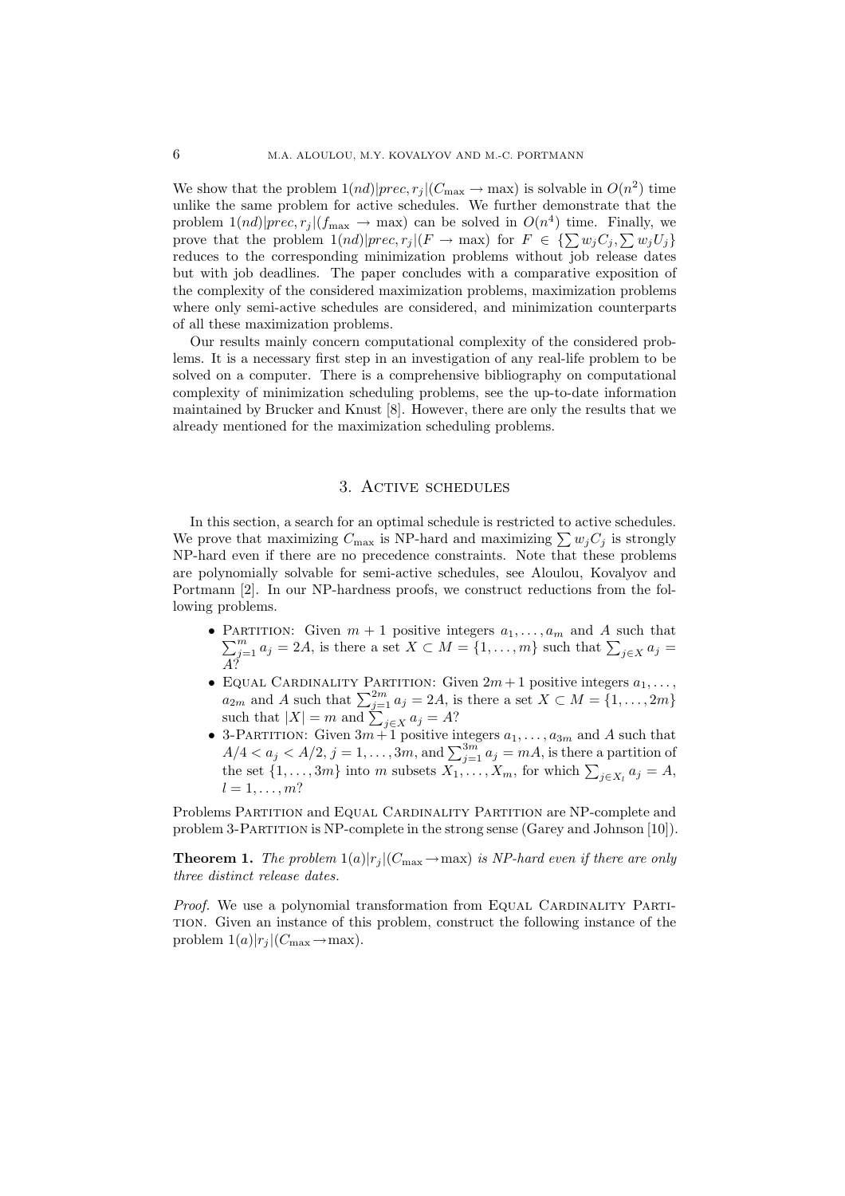We show that the problem  $1(nd)|prec,r_j|(C_{\text{max}} \to \text{max})$  is solvable in  $O(n^2)$  time unlike the same problem for active schedules. We further demonstrate that the problem  $1(nd)|prec,r_j|(f_{\text{max}} \to \text{max})$  can be solved in  $O(n^4)$  time. Finally, we prove that the problem  $1(nd)|prec,r_j|(F \to \text{max})$  for  $F \in \{\sum w_j C_j, \sum w_j U_j\}$ reduces to the corresponding minimization problems without job release dates but with job deadlines. The paper concludes with a comparative exposition of the complexity of the considered maximization problems, maximization problems where only semi-active schedules are considered, and minimization counterparts of all these maximization problems.

Our results mainly concern computational complexity of the considered problems. It is a necessary first step in an investigation of any real-life problem to be solved on a computer. There is a comprehensive bibliography on computational complexity of minimization scheduling problems, see the up-to-date information maintained by Brucker and Knust [8]. However, there are only the results that we already mentioned for the maximization scheduling problems.

## 3. ACTIVE SCHEDULES

In this section, a search for an optimal schedule is restricted to active schedules. We prove that maximizing  $C_{\text{max}}$  is NP-hard and maximizing  $\sum w_i C_i$  is strongly NP-hard even if there are no precedence constraints. Note that these problems are polynomially solvable for semi-active schedules, see Aloulou, Kovalyov and Portmann [2]. In our NP-hardness proofs, we construct reductions from the following problems.

- PARTITION: Given  $m + 1$  positive integers  $a_1, \ldots, a_m$  and A such that  $\sum_{j=1}^m a_j = 2A$ , is there a set  $X \subset M = \{1, \ldots, m\}$  such that  $\sum_{j \in X} a_j =$
- EQUAL CARDINALITY PARTITION: Given  $2m + 1$  positive integers  $a_1, ..., a_{2m}$  and A such that  $\sum_{j=1}^{2m} a_j = 2A$ , is there a set  $X \subset M = \{1, ..., 2m\}$  such that  $|X| = m$  and  $\sum_{j \in X} a_j = A$ ?
- 3-PARTITION: Given  $3m+1$  positive integers  $a_1, \ldots, a_{3m}$  and A such that  $A/4 < a_j < A/2$ ,  $j = 1, \ldots, 3m$ , and  $\sum_{j=1}^{3m} a_j = mA$ , is there a partition of the set  $\{1, \ldots, 3m\}$  into m subsets  $X_1, \ldots, X_m$ , for which  $\sum$  $l=1,\ldots,m?$

Problems PARTITION and EQUAL CARDINALITY PARTITION are NP-complete and problem 3-PARTITION is NP-complete in the strong sense (Garey and Johnson [10]).

**Theorem 1.** The problem  $1(a)|r_j|(C_{\text{max}} \rightarrow \text{max})$  is NP-hard even if there are only three distinct release dates.

*Proof.* We use a polynomial transformation from EQUAL CARDINALITY PARTI-TION. Given an instance of this problem, construct the following instance of the problem  $1(a)|r_i|(C_{\text{max}} \rightarrow \text{max}).$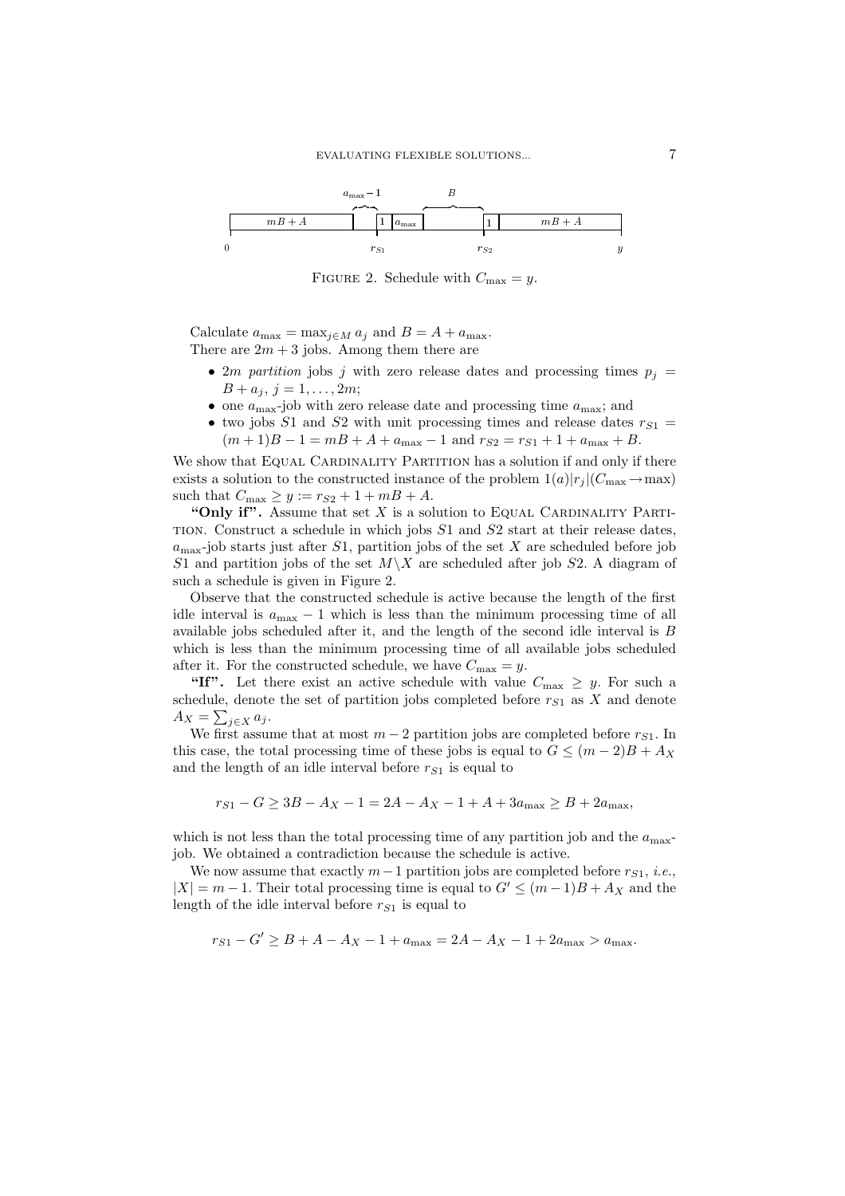

FIGURE 2. Schedule with  $C_{\text{max}} = y$ .

Calculate  $a_{\max} = \max_{j \in M} a_j$  and  $B = A + a_{\max}$ . There are  $2m + 3$  jobs. Among them there are

- 2*m partition* jobs *j* with zero release dates and processing times  $p_i =$  $B + a_j$ ,  $j = 1, ..., 2m$ ;
- one  $a_{\text{max}}$ -job with zero release date and processing time  $a_{\text{max}}$ ; and
- two jobs S1 and S2 with unit processing times and release dates  $r_{S1}$  =  $(m+1)B-1=mB+A+a_{\text{max}}-1$  and  $r_{S2}=r_{S1}+1+a_{\text{max}}+B$ .

We show that EQUAL CARDINALITY PARTITION has a solution if and only if there exists a solution to the constructed instance of the problem  $1(a)|r_i|(C_{\text{max}} \to \text{max})$ such that  $C_{\text{max}} \ge y := r_{S2} + 1 + mB + A$ .

"Only if". Assume that set  $X$  is a solution to EQUAL CARDINALITY PARTI-TION. Construct a schedule in which jobs  $S1$  and  $S2$  start at their release dates,  $a_{\text{max}}$ -job starts just after S1, partition jobs of the set X are scheduled before job S1 and partition jobs of the set  $M\setminus X$  are scheduled after job S2. A diagram of such a schedule is given in Figure 2.

Observe that the constructed schedule is active because the length of the first idle interval is  $a_{\text{max}} - 1$  which is less than the minimum processing time of all available jobs scheduled after it, and the length of the second idle interval is  $B$ which is less than the minimum processing time of all available jobs scheduled after it. For the constructed schedule, we have  $C_{\text{max}} = y$ .

"If". Let there exist an active schedule with value  $C_{\text{max}} \geq y$ . For such a schedule, denote the set of partition jobs completed before  $r_{S1}$  as X and denote  $A_X = \sum_{j \in X} a_j.$ 

We first assume that at most  $m-2$  partition jobs are completed before  $r_{S1}$ . In this case, the total processing time of these jobs is equal to  $G \leq (m-2)B + A_X$ and the length of an idle interval before  $r_{S1}$  is equal to

$$
r_{S1} - G \ge 3B - A_X - 1 = 2A - A_X - 1 + A + 3a_{\text{max}} \ge B + 2a_{\text{max}},
$$

which is not less than the total processing time of any partition job and the  $a_{\text{max}}$ job. We obtained a contradiction because the schedule is active.

We now assume that exactly  $m-1$  partition jobs are completed before  $r_{S1}$ , *i.e.*,  $|X| = m - 1$ . Their total processing time is equal to  $G' \leq (m - 1)B + A_X$  and the length of the idle interval before  $r_{S1}$  is equal to

$$
r_{S1} - G' \geq B + A - A_X - 1 + a_{\text{max}} = 2A - A_X - 1 + 2a_{\text{max}} > a_{\text{max}}.
$$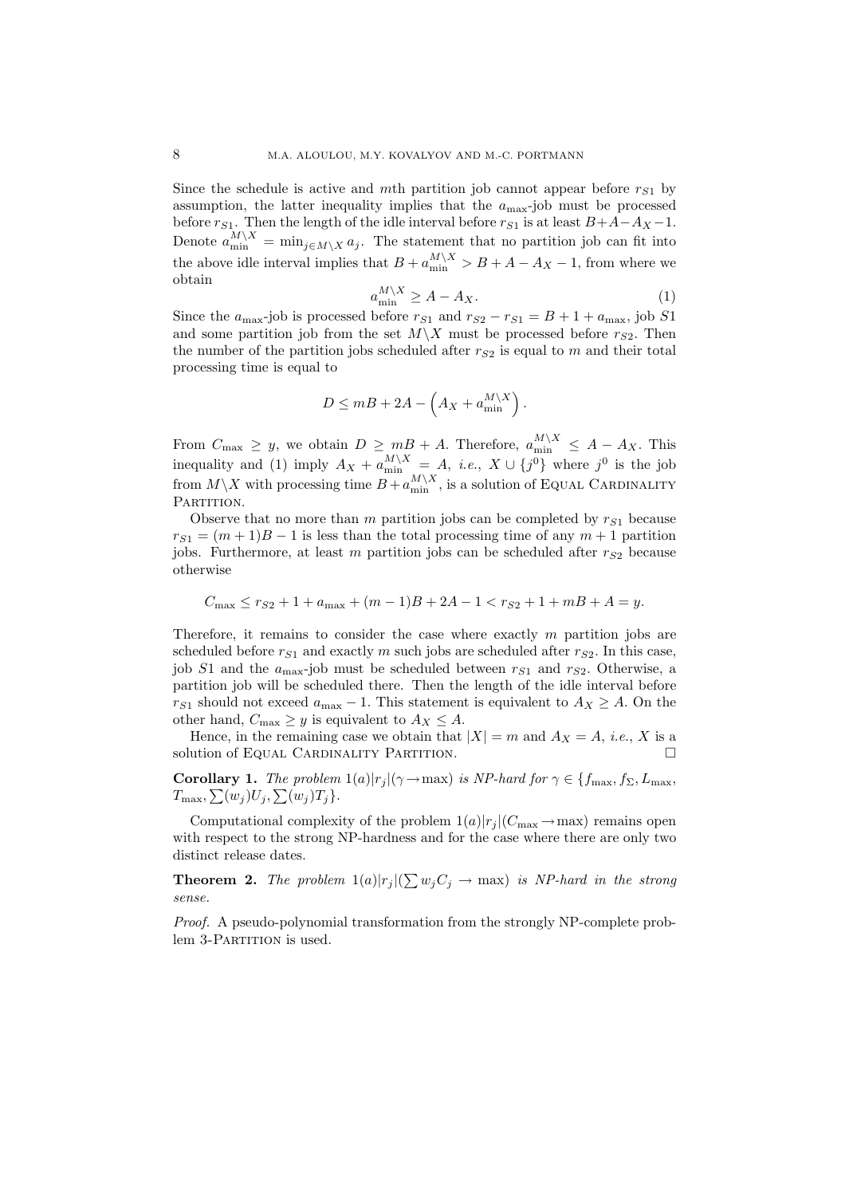Since the schedule is active and mth partition job cannot appear before  $r_{S_1}$  by assumption, the latter inequality implies that the  $a_{\text{max}}$ -job must be processed before  $r_{S1}$ . Then the length of the idle interval before  $r_{S1}$  is at least  $B+A-A_X-1$ .<br>Denote  $a_{\min}^{M\setminus X} = \min_{j\in M\setminus X} a_j$ . The statement that no partition job can fit into the above idle interval implies that  $B + a_{\min}^{M \setminus X} > B + A - A_X - 1$ , from where we obtain

$$
a_{\min}^{M \setminus X} \ge A - A_X. \tag{1}
$$

Since the  $a_{\text{max}}$ -job is processed before  $r_{S1}$  and  $r_{S2} - r_{S1} = B + 1 + a_{\text{max}}$ , job S1 and some partition job from the set  $M\setminus X$  must be processed before  $r_{S2}$ . Then the number of the partition jobs scheduled after  $r_{S2}$  is equal to m and their total processing time is equal to

$$
D \le mB + 2A - \left(A_X + a_{\min}^{M \setminus X}\right).
$$

From  $C_{\text{max}} \geq y$ , we obtain  $D \geq mB + A$ . Therefore,  $a_{\text{min}}^{M \setminus X} \leq A - A_X$ . This inequality and (1) imply  $A_X + a_{\text{min}}^{M \setminus X} = A$ , *i.e.*,  $X \cup \{j^0\}$  where  $j^0$  is the job from  $M \setminus X$  with processing time  $B + a_{\text{min}}^{M$ PARTITION.

Observe that no more than m partition jobs can be completed by  $r_{S1}$  because  $r_{S1} = (m+1)B - 1$  is less than the total processing time of any  $m+1$  partition jobs. Furthermore, at least m partition jobs can be scheduled after  $r_{S2}$  because otherwise

$$
C_{\max} \le r_{S2} + 1 + a_{\max} + (m - 1)B + 2A - 1 < r_{S2} + 1 + m + A = y.
$$

Therefore, it remains to consider the case where exactly  $m$  partition jobs are scheduled before  $r_{S1}$  and exactly m such jobs are scheduled after  $r_{S2}$ . In this case, job S1 and the  $a_{\text{max}}$ -job must be scheduled between  $r_{S1}$  and  $r_{S2}$ . Otherwise, a partition job will be scheduled there. Then the length of the idle interval before  $r_{S1}$  should not exceed  $a_{\text{max}} - 1$ . This statement is equivalent to  $A_X \geq A$ . On the other hand,  $C_{\text{max}} \geq y$  is equivalent to  $A_X \leq A$ .

Hence, in the remaining case we obtain that  $|X| = m$  and  $A_X = A$ , *i.e.*, X is a solution of EQUAL CARDINALITY PARTITION.

**Corollary 1.** The problem  $1(a)|r_j|(\gamma \to \text{max})$  is NP-hard for  $\gamma \in \{f_{\text{max}}, f_{\Sigma}, L_{\text{max}}\}$  $T_{\text{max}},\sum(w_j)U_j,\sum(w_j)T_j\}.$ 

Computational complexity of the problem  $1(a)|r_i|(C_{\text{max}} \to \text{max})$  remains open with respect to the strong NP-hardness and for the case where there are only two distinct release dates.

**Theorem 2.** The problem  $1(a)|r_j|(\sum w_j C_j \rightarrow \max)$  is NP-hard in the strong sense.

*Proof.* A pseudo-polynomial transformation from the strongly NP-complete problem 3-PARTITION is used.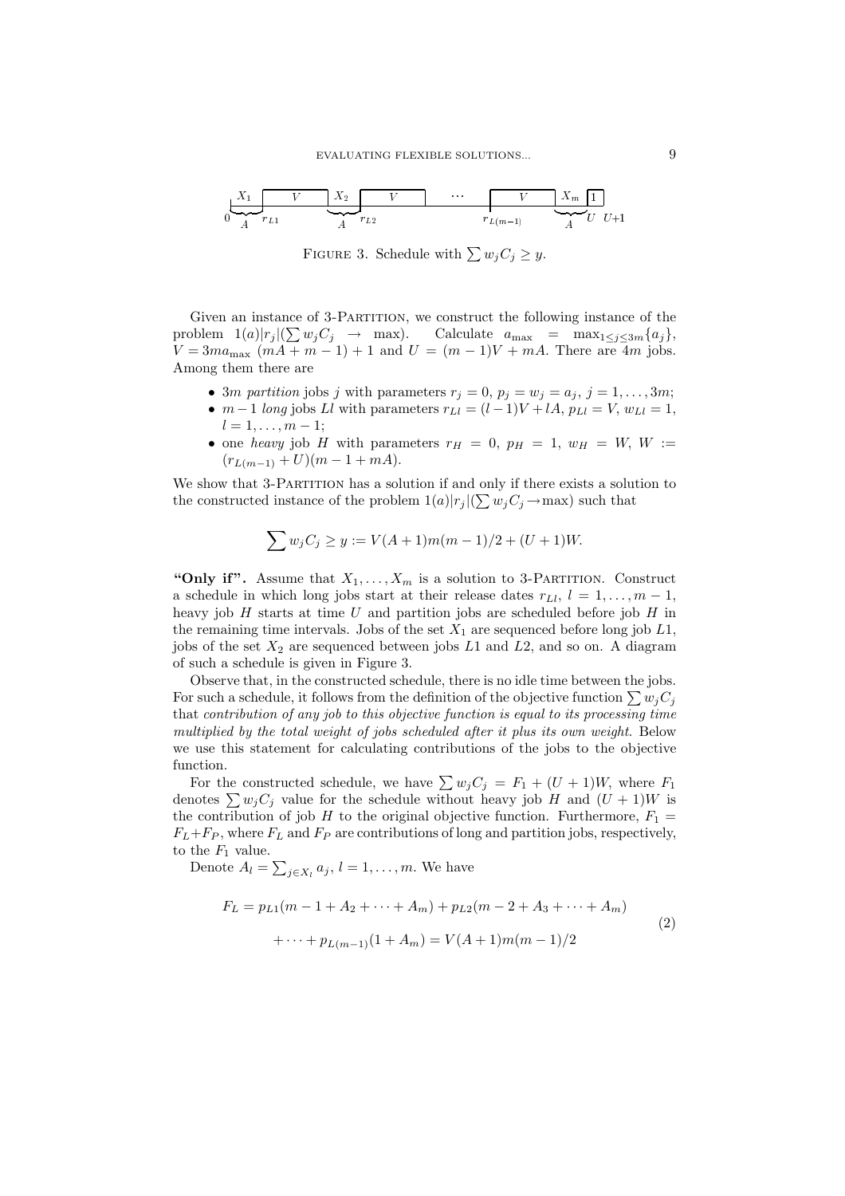$$
\begin{array}{ccccccc}\nX_1 & & & & & & \\
\hline\n0 & & & & & & \\
\hline\n0 & & & & & & \\
\hline\n0 & & & & & & \\
\hline\n\end{array}
$$
\n
$$
\begin{array}{ccccccc}\nX_1 & & & & & & \\
\hline\n0 & & & & & & \\
\hline\n0 & & & & & & \\
\hline\n0 & & & & & & \\
\hline\n0 & & & & & & \\
\hline\n0 & & & & & & \\
\hline\n0 & & & & & & \\
\hline\n0 & & & & & & \\
\hline\n0 & & & & & & \\
\hline\n0 & & & & & & \\
\hline\n0 & & & & & & \\
\hline\n0 & & & & & & \\
\hline\n0 & & & & & & \\
\hline\n0 & & & & & & \\
\hline\n0 & & & & & & \\
\hline\n0 & & & & & & \\
\hline\n0 & & & & & & \\
\hline\n0 & & & & & & \\
\hline\n0 & & & & & & \\
\hline\n0 & & & & & & \\
\hline\n0 & & & & & & \\
\hline\n0 & & & & & & \\
\hline\n0 & & & & & & \\
\hline\n0 & & & & & & \\
\hline\n0 & & & & & & \\
\hline\n0 & & & & & & \\
\hline\n0 & &
$$

FIGURE 3. Schedule with  $\sum w_j C_j \geq y$ .

Given an instance of 3-PARTITION, we construct the following instance of the problem  $1(a)|r_j|(\sum w_j C_j \rightarrow \max)$ . Calculate  $a_{\max} = \max_{1 \leq j \leq 3m} \{a_j\},$  $V = 3ma_{\text{max}} (mA + m - 1) + 1$  and  $U = (m - 1)V + mA$ . There are 4m jobs. Among them there are

- 3*m partition* jobs j with parameters  $r_j = 0$ ,  $p_j = w_j = a_j$ ,  $j = 1, ..., 3m$ ;
- $m-1$  long jobs Ll with parameters  $r_{Ll} = (l-1)V + lA$ ,  $p_{Ll} = V$ ,  $w_{Ll} = 1$ ,  $l = 1, \ldots, m - 1;$
- one heavy job H with parameters  $r_H = 0$ ,  $p_H = 1$ ,  $w_H = W$ ,  $W :=$  $(r_{L(m-1)} + U)(m-1 + mA).$

We show that 3-PARTITION has a solution if and only if there exists a solution to the constructed instance of the problem  $1(a)|r_i|(\sum w_i C_i \rightarrow \max)$  such that

$$
\sum w_j C_j \ge y := V(A+1)m(m-1)/2 + (U+1)W.
$$

"Only if". Assume that  $X_1, \ldots, X_m$  is a solution to 3-PARTITION. Construct a schedule in which long jobs start at their release dates  $r_{L_l}$ ,  $l = 1, \ldots, m-1$ , heavy job  $H$  starts at time  $U$  and partition jobs are scheduled before job  $H$  in the remaining time intervals. Jobs of the set  $X_1$  are sequenced before long job  $L1$ , jobs of the set  $X_2$  are sequenced between jobs  $L1$  and  $L2$ , and so on. A diagram of such a schedule is given in Figure 3.

Observe that, in the constructed schedule, there is no idle time between the jobs. For such a schedule, it follows from the definition of the objective function  $\sum w_i C_i$ that contribution of any job to this objective function is equal to its processing time multiplied by the total weight of jobs scheduled after it plus its own weight. Below we use this statement for calculating contributions of the jobs to the objective function.

For the constructed schedule, we have  $\sum w_j C_j = F_1 + (U + 1)W$ , where  $F_1$ denotes  $\sum w_i C_i$  value for the schedule without heavy job H and  $(U + 1)W$  is the contribution of job H to the original objective function. Furthermore,  $F_1 =$  $F_L + F_P$ , where  $F_L$  and  $F_P$  are contributions of long and partition jobs, respectively, to the  $F_1$  value.

Denote  $A_l = \sum_{j \in X_l} a_j$ ,  $l = 1, \ldots, m$ . We have

$$
F_L = p_{L1}(m - 1 + A_2 + \dots + A_m) + p_{L2}(m - 2 + A_3 + \dots + A_m)
$$
  
 
$$
+ \dots + p_{L(m-1)}(1 + A_m) = V(A+1)m(m-1)/2
$$
 (2)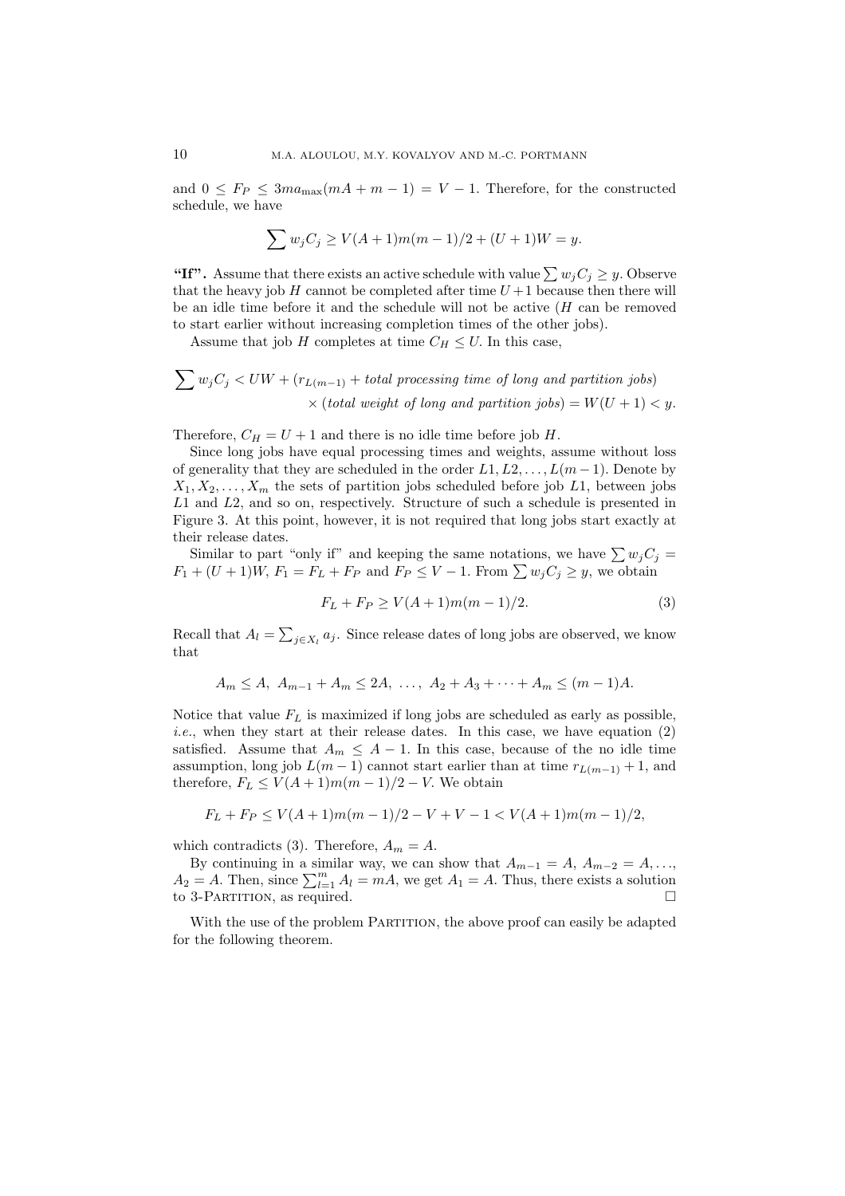and  $0 \leq F_P \leq 3ma_{\text{max}}(mA+m-1) = V-1$ . Therefore, for the constructed schedule, we have

$$
\sum w_j C_j \ge V(A+1)m(m-1)/2 + (U+1)W = y.
$$

"If". Assume that there exists an active schedule with value  $\sum w_i C_i \geq y$ . Observe that the heavy job H cannot be completed after time  $U+1$  because then there will be an idle time before it and the schedule will not be active  $(H \text{ can be removed})$ to start earlier without increasing completion times of the other jobs).

Assume that job H completes at time  $C_H \leq U$ . In this case,

$$
\sum w_j C_j < UW + (r_{L(m-1)} + total \ processing \ time \ of \ long \ and \ partition \ jobs) \\
\times (total \ weight \ of \ long \ and \ partition \ jobs) = W(U+1) < y.
$$

Therefore,  $C_H = U + 1$  and there is no idle time before job H.

Since long jobs have equal processing times and weights, assume without loss of generality that they are scheduled in the order  $L_1, L_2, \ldots, L(m-1)$ . Denote by  $X_1, X_2, \ldots, X_m$  the sets of partition jobs scheduled before job L1, between jobs  $L1$  and  $L2$ , and so on, respectively. Structure of such a schedule is presented in Figure 3. At this point, however, it is not required that long jobs start exactly at their release dates.

Similar to part "only if" and keeping the same notations, we have  $\sum w_j C_j = F_1 + (U+1)W$ ,  $F_1 = F_L + F_P$  and  $F_P \leq V - 1$ . From  $\sum w_j C_j \geq y$ , we obtain

$$
F_L + F_P \ge V(A+1)m(m-1)/2.
$$
 (3)

Recall that  $A_l = \sum_{j \in X_l} a_j$ . Since release dates of long jobs are observed, we know that

$$
A_m \le A, \ A_{m-1} + A_m \le 2A, \ \ldots, \ A_2 + A_3 + \cdots + A_m \le (m-1)A.
$$

Notice that value  $F_L$  is maximized if long jobs are scheduled as early as possible, *i.e.*, when they start at their release dates. In this case, we have equation (2) satisfied. Assume that  $A_m \leq A - 1$ . In this case, because of the no idle time assumption, long job  $L(m-1)$  cannot start earlier than at time  $r_{L(m-1)} + 1$ , and therefore,  $F_L \le V(A+1)m(m-1)/2 - V$ . We obtain

$$
F_L + F_P \le V(A+1)m(m-1)/2 - V + V - 1 < V(A+1)m(m-1)/2,
$$

which contradicts (3). Therefore,  $A_m = A$ .

By continuing in a similar way, we can show that  $A_{m-1} = A$ ,  $A_{m-2} = A$ , ...,  $A_2 = A$ . Then, since  $\sum_{l=1}^{m} A_l = mA$ , we get  $A_1 = A$ . Thus, there exists a solution to 3-PARTITION, as required.  $\Box$ 

With the use of the problem PARTITION, the above proof can easily be adapted for the following theorem.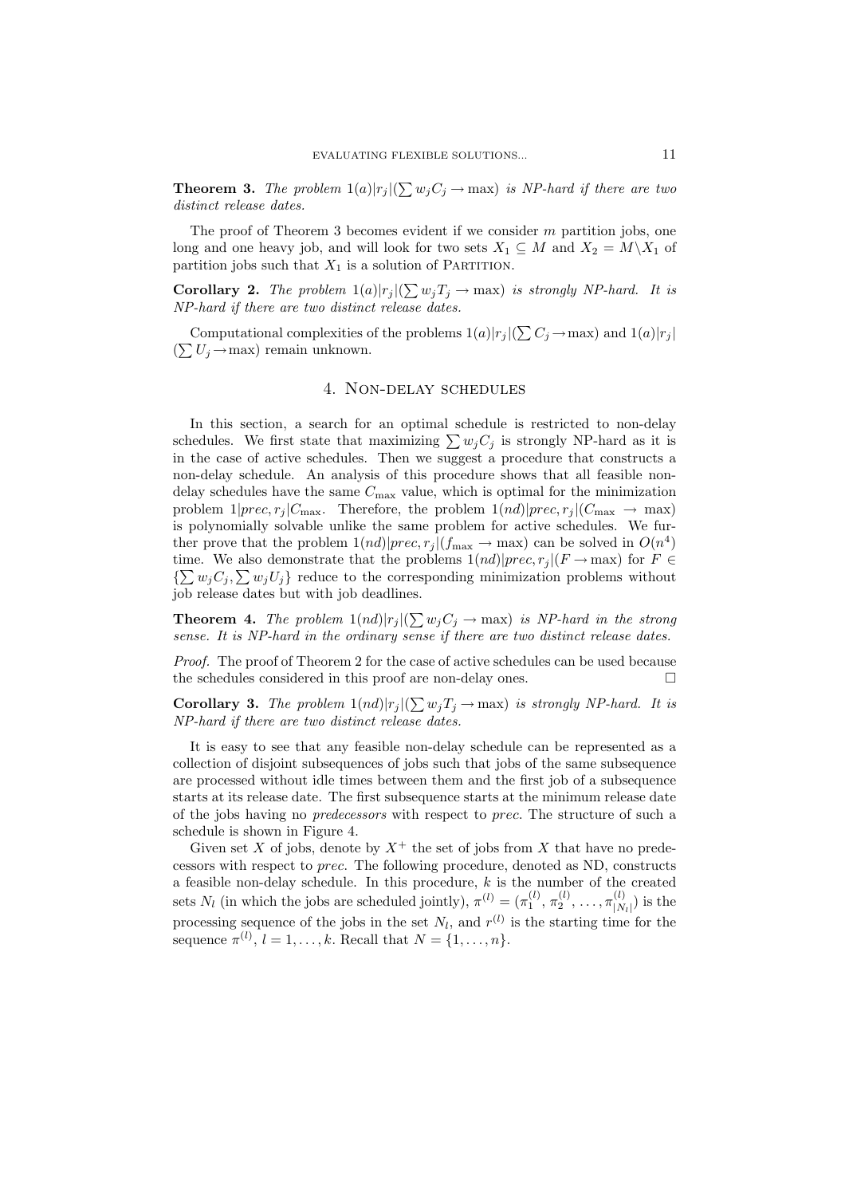**Theorem 3.** The problem  $1(a)|r_j|(\sum w_j C_j \rightarrow \max)$  is NP-hard if there are two distinct release dates.

The proof of Theorem 3 becomes evident if we consider  $m$  partition jobs, one long and one heavy job, and will look for two sets  $X_1 \subseteq M$  and  $X_2 = M \backslash X_1$  of partition jobs such that  $X_1$  is a solution of PARTITION.

**Corollary 2.** The problem  $1(a)|r_j|(\sum w_j T_j \rightarrow \max)$  is strongly NP-hard. It is NP-hard if there are two distinct release dates.

Computational complexities of the problems  $1(a)|r_i|(\sum C_i \rightarrow \max)$  and  $1(a)|r_i|$  $(\sum U_i \rightarrow \text{max})$  remain unknown.

# 4. NON-DELAY SCHEDULES

In this section, a search for an optimal schedule is restricted to non-delay schedules. We first state that maximizing  $\sum w_i C_i$  is strongly NP-hard as it is in the case of active schedules. Then we suggest a procedure that constructs a non-delay schedule. An analysis of this procedure shows that all feasible nondelay schedules have the same  $C_{\text{max}}$  value, which is optimal for the minimization problem  $1|prec,r_j|C_{\text{max}}$ . Therefore, the problem  $1(nd)|prec,r_j|(C_{\text{max}} \to \text{max})$ is polynomially solvable unlike the same problem for active schedules. We further prove that the problem  $1(nd)|prec,r_j|(f_{\text{max}} \to \text{max})$  can be solved in  $O(n^4)$ time. We also demonstrate that the problems  $1(nd)|prec, r_i|(F \rightarrow \text{max})$  for  $F \in$  $\{\sum w_j C_j, \sum w_j U_j\}$  reduce to the corresponding minimization problems without job release dates but with job deadlines.

**Theorem 4.** The problem  $1(nd)|r_j|(\sum w_j C_j \rightarrow \max)$  is NP-hard in the strong sense. It is NP-hard in the ordinary sense if there are two distinct release dates.

*Proof.* The proof of Theorem 2 for the case of active schedules can be used because the schedules considered in this proof are non-delay ones.  $\Box$ 

**Corollary 3.** The problem  $1(nd)|r_j|(\sum w_jT_j \rightarrow \max)$  is strongly NP-hard. It is NP-hard if there are two distinct release dates.

It is easy to see that any feasible non-delay schedule can be represented as a collection of disjoint subsequences of jobs such that jobs of the same subsequence are processed without idle times between them and the first job of a subsequence starts at its release date. The first subsequence starts at the minimum release date of the jobs having no *predecessors* with respect to *prec*. The structure of such a schedule is shown in Figure 4.

Given set X of jobs, denote by  $X^+$  the set of jobs from X that have no predecessors with respect to *prec.* The following procedure, denoted as ND, constructs a feasible non-delay schedule. In this procedure,  $k$  is the number of the created sets  $N_l$  (in which the jobs are scheduled jointly),  $\pi^{(l)} = (\pi_1^{(l)}, \pi_2^{(l)}, \ldots, \pi_{|N_l|}^{(l)})$  is the processing sequence of the jobs in the set  $N_l$ , and  $r^{(l)}$  is the starting time for the sequence  $\pi^{(l)}$ ,  $l = 1, \ldots, k$ . Recall that  $N = \{1, \ldots, n\}$ .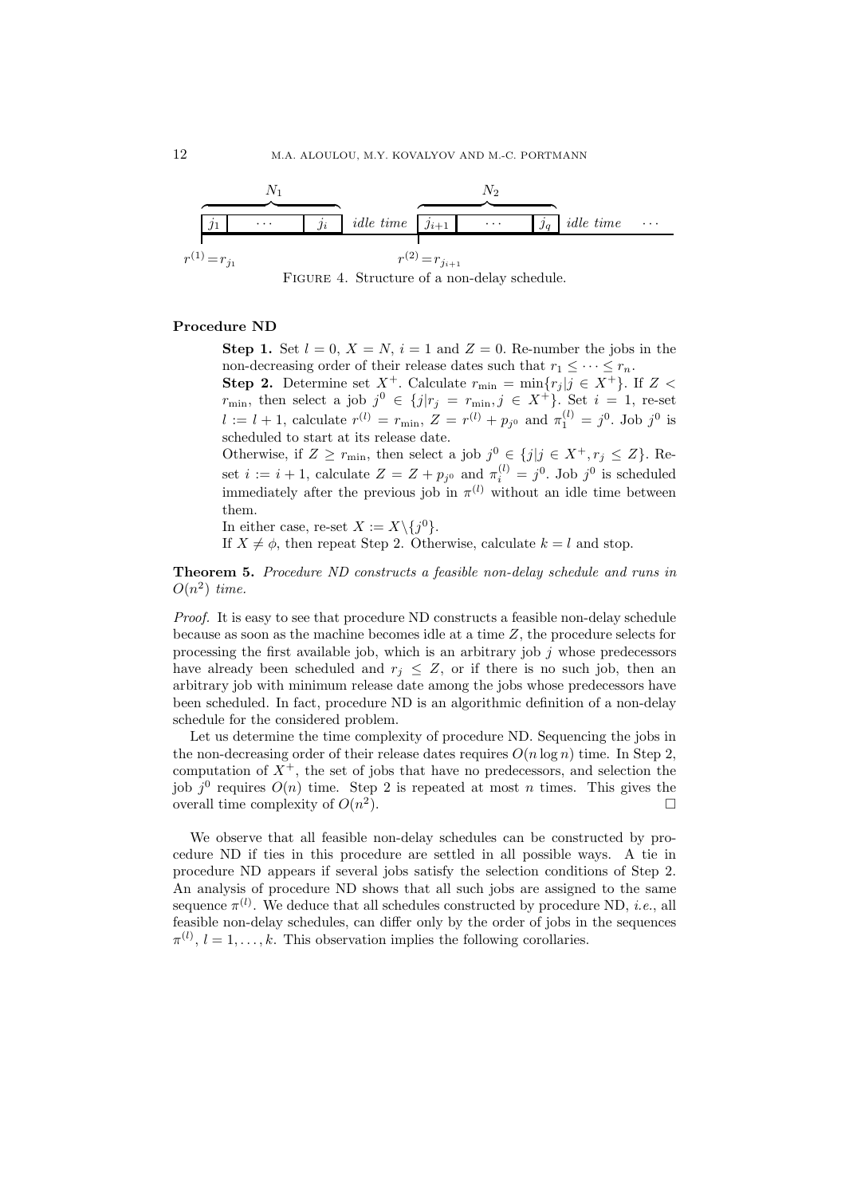



## Procedure ND

**Step 1.** Set  $l = 0$ ,  $X = N$ ,  $i = 1$  and  $Z = 0$ . Re-number the jobs in the non-decreasing order of their release dates such that  $r_1 \leq \cdots \leq r_n$ . **Step 2.** Determine set  $X^+$ . Calculate  $r_{\min} = \min\{r_j | j \in X^+\}$ . If  $Z < r_{\min}$ , then select a job  $j^0 \in \{j | r_j = r_{\min}, j \in X^+\}$ . Set  $i = 1$ , re-set  $l := l + 1$ , calculate  $r^{(l)} = r_{\min}$ ,  $Z = r^{(l)} + p_{j^0}$  and  $\pi_1^{(l)} = j^0$ . Job

scheduled to start at its release date. Otherwise, if  $Z \geq r_{\min}$ , then select a job  $j^0 \in \{j | j \in X^+, r_j \leq Z\}$ . Re-

set  $i := i + 1$ , calculate  $Z = Z + p_{j0}$  and  $\pi_i^{(l)} = j^0$ . Job  $j^0$  is scheduled<br>immediately after the previous job in  $\pi^{(l)}$  without an idle time between them.

In either case, re-set  $X := X \setminus \{j^0\}.$ 

If  $X \neq \phi$ , then repeat Step 2. Otherwise, calculate  $k = l$  and stop.

**Theorem 5.** Procedure ND constructs a feasible non-delay schedule and runs in  $O(n^2)$  time.

*Proof.* It is easy to see that procedure ND constructs a feasible non-delay schedule because as soon as the machine becomes idle at a time  $Z$ , the procedure selects for processing the first available job, which is an arbitrary job  $j$  whose predecessors have already been scheduled and  $r_i \leq Z$ , or if there is no such job, then an arbitrary job with minimum release date among the jobs whose predecessors have been scheduled. In fact, procedure ND is an algorithmic definition of a non-delay schedule for the considered problem.

Let us determine the time complexity of procedure ND. Sequencing the jobs in the non-decreasing order of their release dates requires  $O(n \log n)$  time. In Step 2, computation of  $X^+$ , the set of jobs that have no predecessors, and selection the job  $i^0$  requires  $O(n)$  time. Step 2 is repeated at most *n* times. This gives the overall time complexity of  $O(n^2)$ .  $\Box$ 

We observe that all feasible non-delay schedules can be constructed by procedure ND if ties in this procedure are settled in all possible ways. A tie in procedure ND appears if several jobs satisfy the selection conditions of Step 2. An analysis of procedure ND shows that all such jobs are assigned to the same sequence  $\pi^{(l)}$ . We deduce that all schedules constructed by procedure ND, *i.e.*, all feasible non-delay schedules, can differ only by the order of jobs in the sequences  $\pi^{(l)}$ ,  $l = 1, ..., k$ . This observation implies the following corollaries.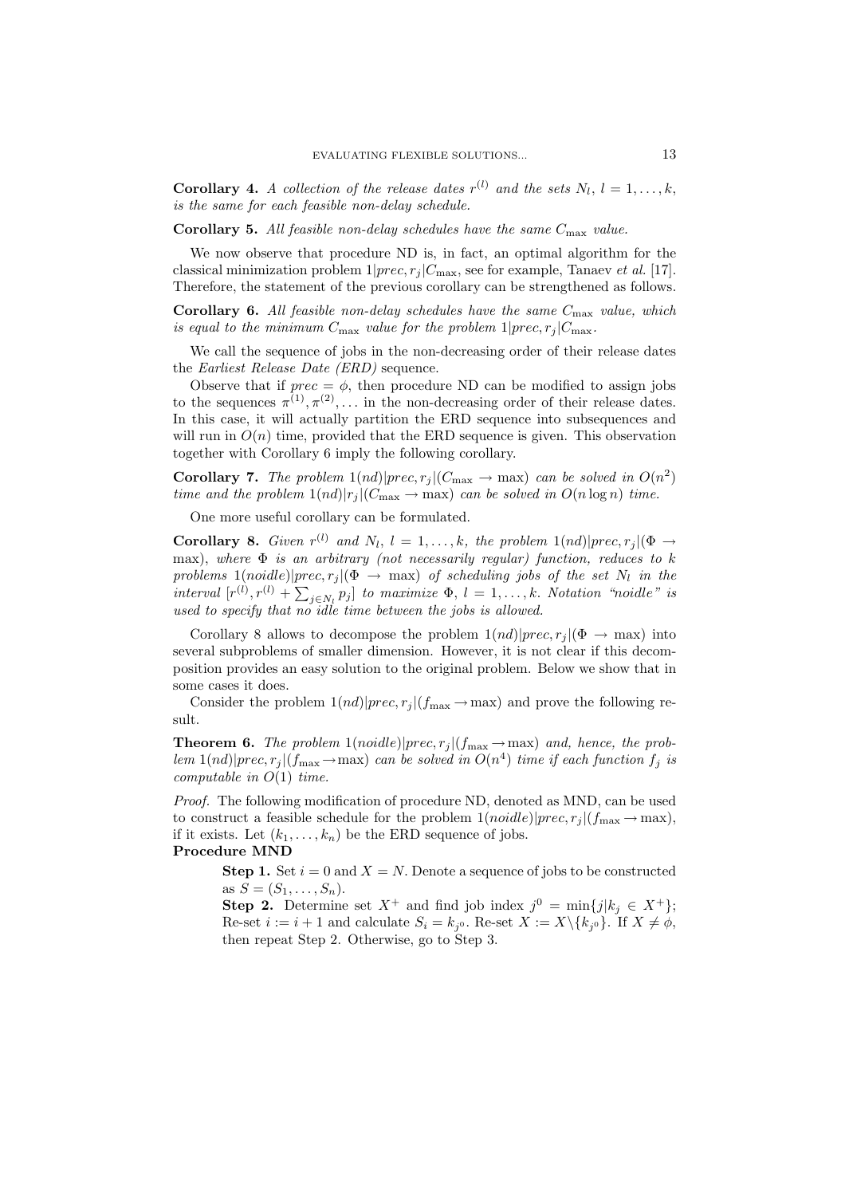**Corollary 4.** A collection of the release dates  $r^{(l)}$  and the sets  $N_l$ ,  $l = 1, ..., k$ , is the same for each feasible non-delay schedule.

**Corollary 5.** All feasible non-delay schedules have the same  $C_{\text{max}}$  value.

We now observe that procedure ND is, in fact, an optimal algorithm for the classical minimization problem  $1|prec, r_j|C_{\text{max}}$ , see for example, Tanaev *et al.* [17]. Therefore, the statement of the previous corollary can be strengthened as follows.

**Corollary 6.** All feasible non-delay schedules have the same  $C_{\text{max}}$  value, which is equal to the minimum  $C_{\text{max}}$  value for the problem  $1|prec,r_j|C_{\text{max}}$ .

We call the sequence of jobs in the non-decreasing order of their release dates the Earliest Release Date (ERD) sequence.

Observe that if  $prec = \phi$ , then procedure ND can be modified to assign jobs to the sequences  $\pi^{(1)}, \pi^{(2)}, \ldots$  in the non-decreasing order of their release dates. In this case, it will actually partition the ERD sequence into subsequences and will run in  $O(n)$  time, provided that the ERD sequence is given. This observation together with Corollary 6 imply the following corollary.

**Corollary 7.** The problem  $1(nd)|prec,r_i|(C_{\text{max}} \to \text{max})$  can be solved in  $O(n^2)$ time and the problem  $1(nd)|r_j|(C_{\text{max}} \to \text{max})$  can be solved in  $O(n \log n)$  time.

One more useful corollary can be formulated.

**Corollary 8.** Given  $r^{(l)}$  and  $N_l$ ,  $l = 1, ..., k$ , the problem  $1(nd)|prec, r_i|(\Phi \rightarrow$ max), where  $\Phi$  is an arbitrary (not necessarily regular) function, reduces to k problems  $1(noidle)|prec,r_j|(\Phi \rightarrow \max)$  of scheduling jobs of the set  $N_l$  in the interval  $[r^{(l)}, r^{(l)} + \sum_{j \in N_l} p_j]$  to maximize  $\Phi$ ,  $l = 1, ..., k$ . Notation "noidle" is used to specify that no idle time between the jobs is allowed.

Corollary 8 allows to decompose the problem  $1(nd)|prec,r_j|(\Phi \to \max)$  into several subproblems of smaller dimension. However, it is not clear if this decomposition provides an easy solution to the original problem. Below we show that in some cases it does.

Consider the problem  $1(nd)|prec, r_j|(f_{\text{max}} \to \text{max})$  and prove the following result.

**Theorem 6.** The problem  $1(noidle)|prec,r_j|(f_{\text{max}} \rightarrow \text{max})$  and, hence, the problem 1(nd)|prec,  $r_i$ |(f<sub>max</sub>  $\rightarrow$  max) can be solved in  $O(n^4)$  time if each function  $f_j$  is computable in  $O(1)$  time.

*Proof.* The following modification of procedure ND, denoted as MND, can be used to construct a feasible schedule for the problem  $1(noidle)|prec, r_i|(f_{\text{max}} \to \text{max}),$ if it exists. Let  $(k_1, \ldots, k_n)$  be the ERD sequence of jobs.

#### **Procedure MND**

**Step 1.** Set  $i = 0$  and  $X = N$ . Denote a sequence of jobs to be constructed as  $S = (S_1, ..., S_n)$ .

**Step 2.** Determine set  $X^+$  and find job index  $j^0 = \min\{j|k_j \in X^+\};$ Re-set  $i := i + 1$  and calculate  $S_i = k_{i^0}$ . Re-set  $X := X \setminus \{k_{i^0}\}\$ . If  $X \neq \emptyset$ , then repeat Step 2. Otherwise, go to Step 3.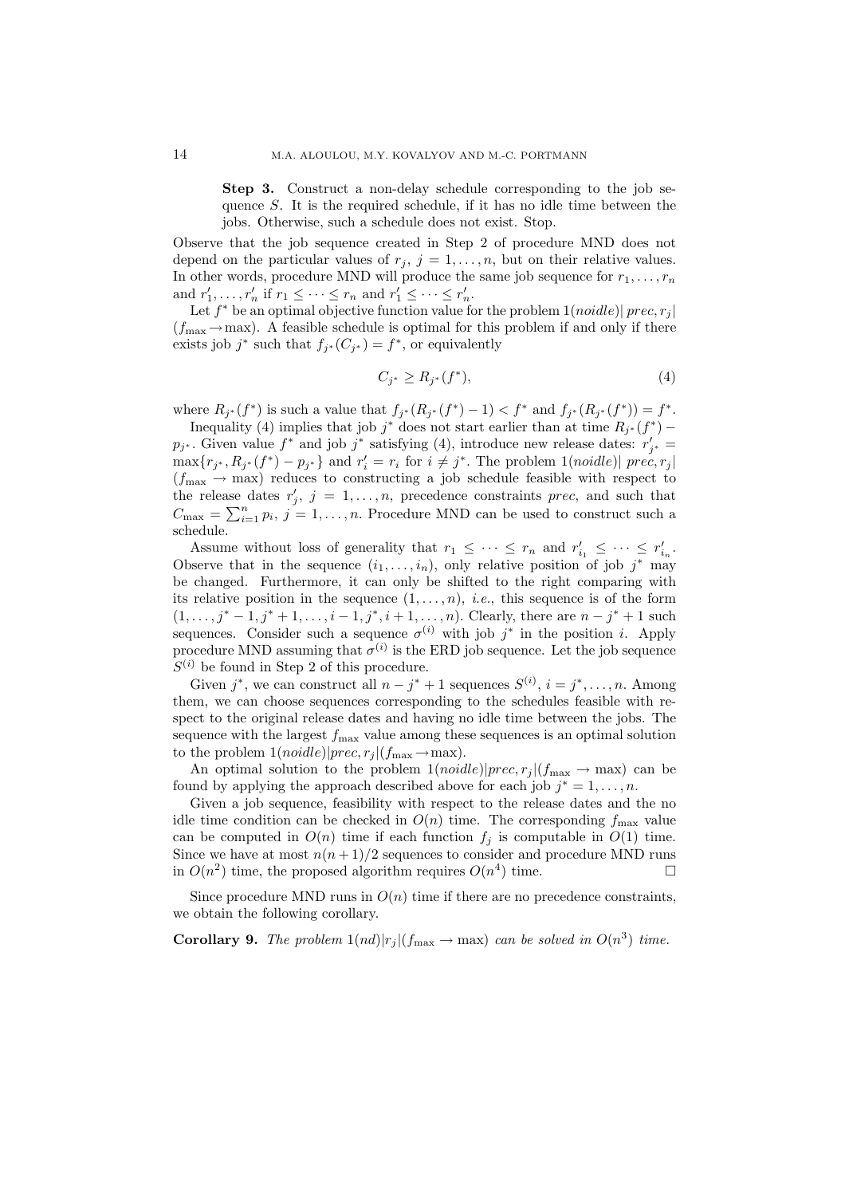Step 3. Construct a non-delay schedule corresponding to the job sequence  $S$ . It is the required schedule, if it has no idle time between the jobs. Otherwise, such a schedule does not exist. Stop.

Observe that the job sequence created in Step 2 of procedure MND does not depend on the particular values of  $r_j$ ,  $j = 1, ..., n$ , but on their relative values. In other words, procedure MND will produce the same job sequence for  $r_1, \ldots, r_n$ and  $r'_1, \ldots, r'_n$  if  $r_1 \leq \cdots \leq r_n$  and  $r'_1 \leq \cdots \leq r'_n$ .

Let  $f^*$  be an optimal objective function value for the problem  $1(noidle) | prec, r_i|$  $(f_{\text{max}} \rightarrow \text{max})$ . A feasible schedule is optimal for this problem if and only if there exists job j<sup>\*</sup> such that  $f_{i^*}(C_{i^*}) = f^*$ , or equivalently

$$
C_{i^*} \ge R_{i^*}(f^*),\tag{4}
$$

where  $R_{j^*}(f^*)$  is such a value that  $f_{j^*}(R_{j^*}(f^*)-1) < f^*$  and  $f_{j^*}(R_{j^*}(f^*)) = f^*$ .

Inequality (4) implies that job  $j^*$  does not start earlier than at time  $R_{j^*}(f^*)$  –  $p_{j^*}$ . Given value  $f^*$  and job  $j^*$  satisfying (4), introduce new release dates:  $r'_{i^*}$  =  $\max\{r_{j^*}, R_{j^*}(f^*) - p_{j^*}\}\$ and  $r'_i = r_i$  for  $i \neq j^*$ . The problem  $1(noidle)| prec, r_j|$  $(f_{\text{max}} \rightarrow \text{max})$  reduces to constructing a job schedule feasible with respect to the release dates  $r'_j$ ,  $j = 1, ..., n$ , precedence constraints *prec*, and such that  $C_{\text{max}} = \sum_{i=1}^{n} p_i$ ,  $j = 1, ..., n$ . Procedure MND can be used to construct such a schedule.

Assume without loss of generality that  $r_1 \leq \cdots \leq r_n$  and  $r'_{i_1} \leq \cdots \leq r'_{i_n}$ . Observe that in the sequence  $(i_1, \ldots, i_n)$ , only relative position of job j<sup>\*</sup> may be changed. Furthermore, it can only be shifted to the right comparing with its relative position in the sequence  $(1, \ldots, n)$ , *i.e.*, this sequence is of the form  $(1, \ldots, j^* - 1, j^* + 1, \ldots, i - 1, j^*, i + 1, \ldots, n)$ . Clearly, there are  $n - j^* + 1$  such sequences. Consider such a sequence  $\sigma^{(i)}$  with job  $j^*$  in the position *i*. Apply procedure MND assuming that  $\sigma^{(i)}$  is the ERD job sequence. Let the job sequence  $S^{(i)}$  be found in Step 2 of this procedure.

Given  $j^*$ , we can construct all  $n - j^* + 1$  sequences  $S^{(i)}$ ,  $i = j^*$ , ..., n. Among them, we can choose sequences corresponding to the schedules feasible with respect to the original release dates and having no idle time between the jobs. The sequence with the largest  $f_{\text{max}}$  value among these sequences is an optimal solution to the problem  $1(noidle)|prec, r_j|(f_{\text{max}} \rightarrow \text{max}).$ 

An optimal solution to the problem  $1(noidle)|prec, r_i|(f_{\text{max}} \to \text{max})$  can be found by applying the approach described above for each job  $j^* = 1, \ldots, n$ .

Given a job sequence, feasibility with respect to the release dates and the no idle time condition can be checked in  $O(n)$  time. The corresponding  $f_{\text{max}}$  value can be computed in  $O(n)$  time if each function  $f_i$  is computable in  $O(1)$  time. Since we have at most  $n(n+1)/2$  sequences to consider and procedure MND runs in  $O(n^2)$  time, the proposed algorithm requires  $O(n^4)$  time.  $\Box$ 

Since procedure MND runs in  $O(n)$  time if there are no precedence constraints. we obtain the following corollary.

**Corollary 9.** The problem  $1(nd)|r_i|(f_{\text{max}} \to \text{max})$  can be solved in  $O(n^3)$  time.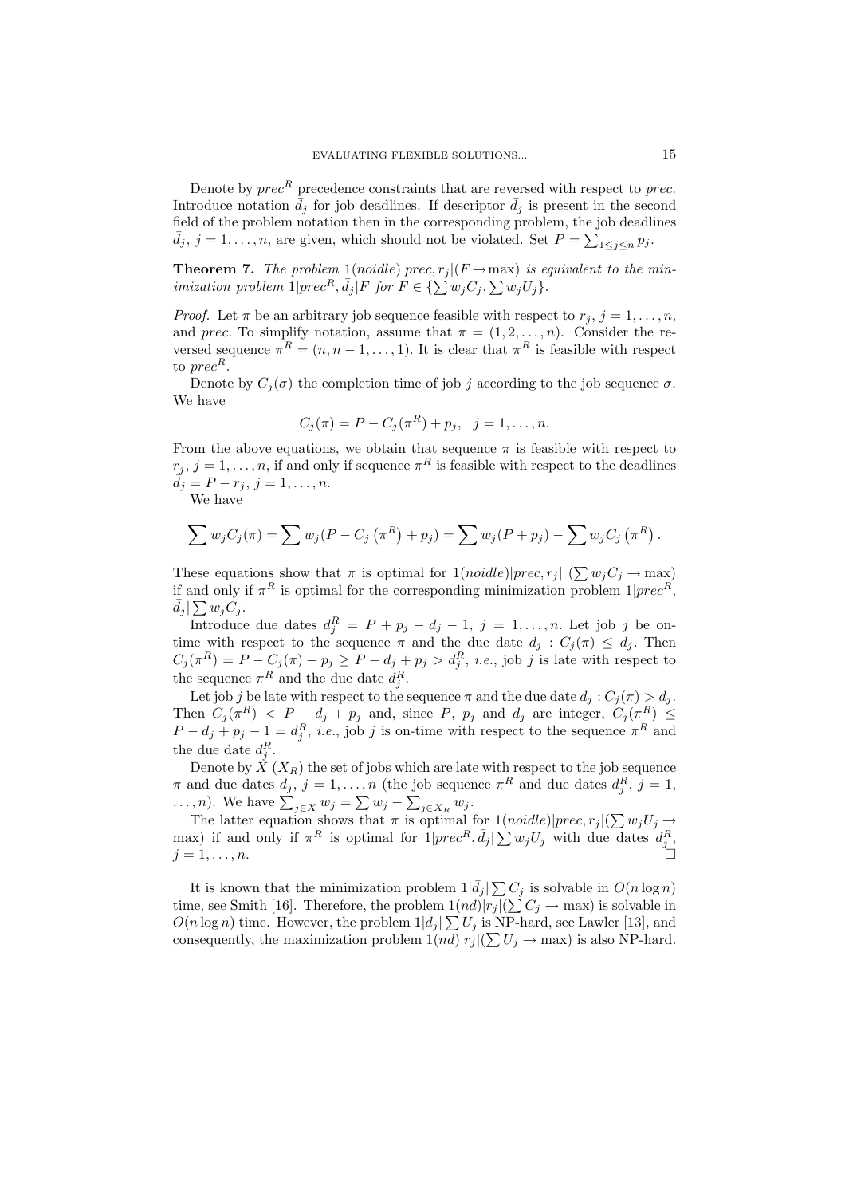Denote by  $prec^R$  precedence constraints that are reversed with respect to prec. Introduce notation  $\bar{d}_i$  for job deadlines. If descriptor  $\bar{d}_i$  is present in the second field of the problem notation then in the corresponding problem, the job deadlines  $\bar{d}_j$ ,  $j = 1, \ldots, n$ , are given, which should not be violated. Set  $P = \sum_{1 \leq i \leq n} p_i$ .

**Theorem 7.** The problem  $1(noidle)|prec,r_j|(F \rightarrow max)$  is equivalent to the min*imization problem*  $1|prec^R, \bar{d}_j|F$  for  $F \in \{\sum w_j C_j, \sum w_j U_j\}.$ 

*Proof.* Let  $\pi$  be an arbitrary job sequence feasible with respect to  $r_j$ ,  $j = 1, ..., n$ , and prec. To simplify notation, assume that  $\pi = (1, 2, ..., n)$ . Consider the reversed sequence  $\pi^R = (n, n-1, \ldots, 1)$ . It is clear that  $\pi^R$  is feasible with respect to  $prec^R$ .

Denote by  $C_i(\sigma)$  the completion time of job j according to the job sequence  $\sigma$ . We have

$$
C_j(\pi) = P - C_j(\pi^R) + p_j, \ \ j = 1, \dots, n.
$$

From the above equations, we obtain that sequence  $\pi$  is feasible with respect to  $r_j, j = 1, \ldots, n$ , if and only if sequence  $\pi^R$  is feasible with respect to the deadlines  $\tilde{d}_j = P - r_j, j = 1, \ldots, n.$ 

We have

$$
\sum w_j C_j(\pi) = \sum w_j (P - C_j(\pi^R) + p_j) = \sum w_j (P + p_j) - \sum w_j C_j(\pi^R).
$$

These equations show that  $\pi$  is optimal for  $1(noidle)|prec, r_i| (\sum w_i C_i \rightarrow \max)$ if and only if  $\pi^R$  is optimal for the corresponding minimization problem  $1|prec^R$ ,  $\bar{d}_j | \sum w_j C_j.$ 

Introduce due dates  $d_j^R = P + p_j - d_j - 1$ ,  $j = 1, ..., n$ . Let job j be ontime with respect to the sequence  $\pi$  and the due date  $d_j : C_j(\pi) \leq d_j$ . Then  $C_j(\pi^R) = P - C_j(\pi) + p_j \ge P - d_j + p_j > d_j^R$ , *i.e.*, job *j* is late with respect to the sequence  $\pi^R$  and the due date  $d_i^R$ .

Let job j be late with respect to the sequence  $\pi$  and the due date  $d_j : C_j(\pi) > d_j$ . Then  $C_j(\pi^R) < P - d_j + p_j$  and, since P,  $p_j$  and  $d_j$  are integer,  $C_j(\pi^R) \le P - d_j + p_j - 1 = d_j^R$ , *i.e.*, job *j* is on-time with respect to the sequence  $\pi^R$  and the due date  $d_i^R$ .

Denote by  $\check{X}(X_R)$  the set of jobs which are late with respect to the job sequence  $\pi$  and due dates  $d_j$ ,  $j = 1, ..., n$  (the job sequence  $\pi^R$  and due dates  $d_i^R$ ,  $j = 1$ ,

...,*n*). We have  $\sum_{j \in X} w_j = \sum w_j - \sum_{j \in X_R} w_j$ .<br>The latter equation shows that  $\pi$  is optimal for  $1(noidle)|prec, r_j|(\sum w_j U_j \rightarrow$ max) if and only if  $\pi^R$  is optimal for  $1|prec^R, \bar{d}_j| \sum w_j U_j$  with due dates  $d_j^R$ .  $j=1,\ldots,n.$ 

It is known that the minimization problem  $1|\bar{d}_j| \sum C_j$  is solvable in  $O(n \log n)$ time, see Smith [16]. Therefore, the problem  $1(nd)|r_j|(\sum C_j \rightarrow \max)$  is solvable in  $O(n \log n)$  time. However, the problem  $1|\bar{d}_j| \sum U_j$  is NP-hard, see Lawler [13], and consequently, the maximization problem  $1(nd)|r_j|(\sum U_j \rightarrow \max)$  is also NP-hard.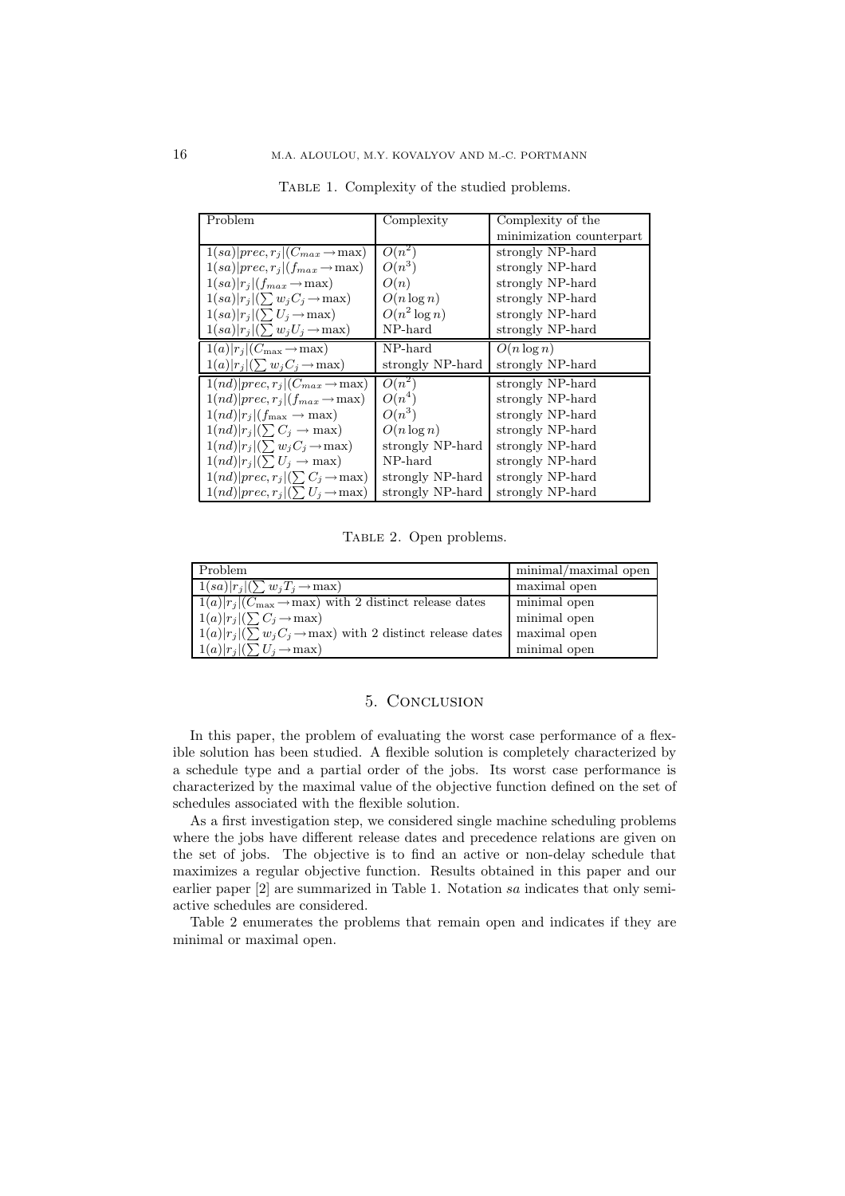| Problem                                                 | Complexity       | Complexity of the        |
|---------------------------------------------------------|------------------|--------------------------|
|                                                         |                  | minimization counterpart |
| $1(sa) prec,r_i (C_{max} \rightarrow \max)$             | $O(n^2)$         | strongly NP-hard         |
| $1(sa) prec,r_i (f_{max} \rightarrow \max)$             | $O(n^3)$         | strongly NP-hard         |
| $1(sa) r_j (f_{max} \rightarrow \max)$                  | O(n)             | strongly NP-hard         |
| $1(sa) r_j (\sum w_jC_j\rightarrow \max)$               | $O(n \log n)$    | strongly NP-hard         |
| $1(sa) r_i (\sum U_i \rightarrow \max)$                 | $O(n^2 \log n)$  | strongly NP-hard         |
| $1(sa) r_j (\sum w_jU_j\rightarrow \max)$               | NP-hard          | strongly NP-hard         |
| $1(a) r_j $ ( $C_{\text{max}} \rightarrow \text{max}$ ) | NP-hard          | $\overline{O}(n \log n)$ |
| $1(a) r_j (\sum w_j C_j \rightarrow \max)$              | strongly NP-hard | strongly NP-hard         |
| $1(nd)   prec, r_j  (C_{max} \rightarrow max)$          | $O(n^2)$         | strongly NP-hard         |
| $1(nd) prec,r_i (f_{max} \rightarrow max)$              | $O(n^4)$         | strongly NP-hard         |
| $1(nd) r_i (f_{\text{max}} \rightarrow \text{max})$     | $O(n^3)$         | strongly NP-hard         |
| $1(nd) r_i (\sum C_i \rightarrow \max)$                 | $O(n \log n)$    | strongly NP-hard         |
| $1(nd) r_i (\sum w_iC_i \rightarrow \max)$              | strongly NP-hard | strongly NP-hard         |
| $1(nd) r_i (\sum U_i \rightarrow \max)$                 | NP-hard          | strongly NP-hard         |
| $1(nd) prec,r_j (\sum C_j \rightarrow \max)$            | strongly NP-hard | strongly NP-hard         |
| $1(nd) prec, r_j (\sum U_j \rightarrow \max)$           | strongly NP-hard | strongly NP-hard         |

TABLE 1. Complexity of the studied problems.

TABLE 2. Open problems.

| Problem                                                                          | minimal/maximal open |
|----------------------------------------------------------------------------------|----------------------|
| $1(sa) r_j (\sum w_jT_j \rightarrow \text{max})$                                 | maximal open         |
| $1(a) r_i (C_{\text{max}} \rightarrow \text{max})$ with 2 distinct release dates | minimal open         |
| $1(a) r_j (\sum C_j \rightarrow \max)$                                           | minimal open         |
| $1(a) r_i (\sum w_i C_i \rightarrow \text{max})$ with 2 distinct release dates   | maximal open         |
| $1(a) r_j (\sum U_j \rightarrow \max)$                                           | minimal open         |

## 5. CONCLUSION

In this paper, the problem of evaluating the worst case performance of a flexible solution has been studied. A flexible solution is completely characterized by a schedule type and a partial order of the jobs. Its worst case performance is characterized by the maximal value of the objective function defined on the set of schedules associated with the flexible solution.

As a first investigation step, we considered single machine scheduling problems where the jobs have different release dates and precedence relations are given on the set of jobs. The objective is to find an active or non-delay schedule that maximizes a regular objective function. Results obtained in this paper and our earlier paper  $[2]$  are summarized in Table 1. Notation sa indicates that only semiactive schedules are considered.

Table 2 enumerates the problems that remain open and indicates if they are minimal or maximal open.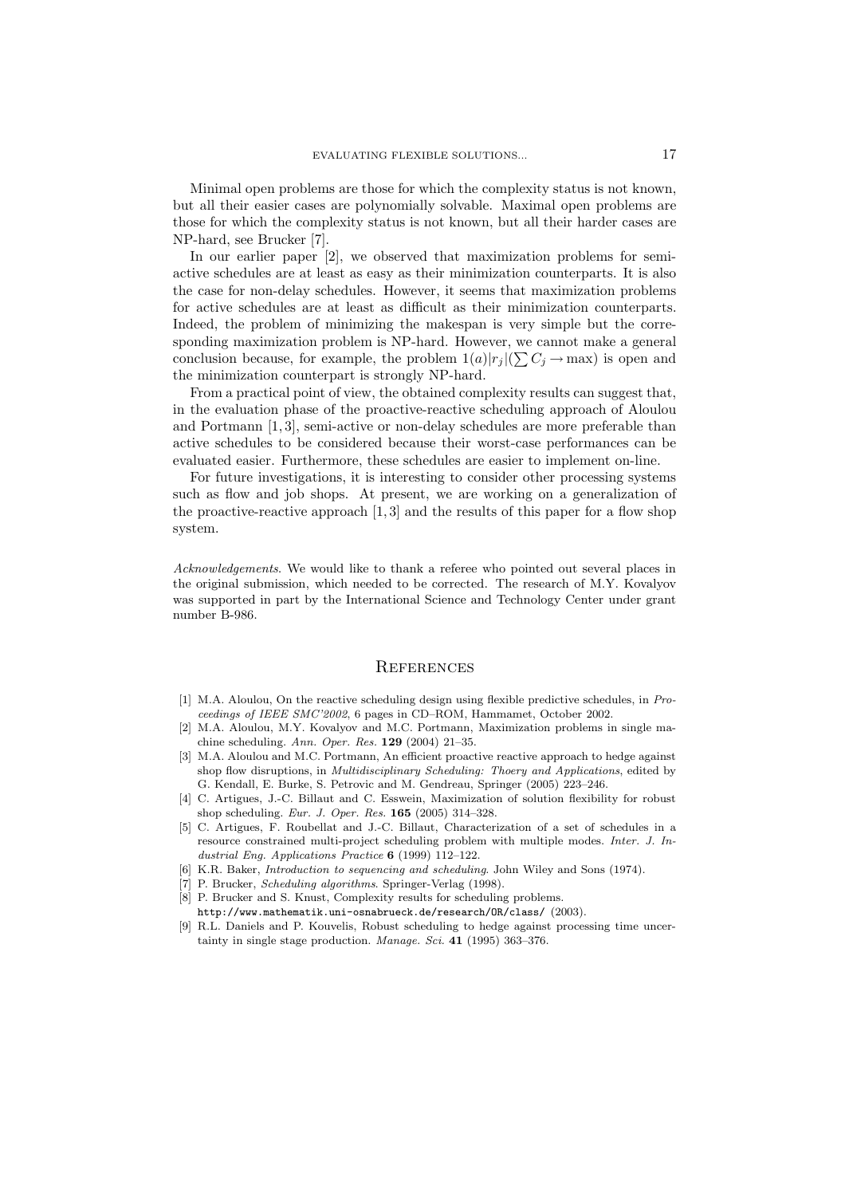Minimal open problems are those for which the complexity status is not known, but all their easier cases are polynomially solvable. Maximal open problems are those for which the complexity status is not known, but all their harder cases are NP-hard, see Brucker [7].

In our earlier paper [2], we observed that maximization problems for semiactive schedules are at least as easy as their minimization counterparts. It is also the case for non-delay schedules. However, it seems that maximization problems for active schedules are at least as difficult as their minimization counterparts. Indeed, the problem of minimizing the makespan is very simple but the corresponding maximization problem is NP-hard. However, we cannot make a general conclusion because, for example, the problem  $1(a)|r_j|(\sum C_j \to \max)$  is open and the minimization counterpart is strongly NP-hard.

From a practical point of view, the obtained complexity results can suggest that, in the evaluation phase of the proactive-reactive scheduling approach of Aloulou and Portmann  $[1,3]$ , semi-active or non-delay schedules are more preferable than active schedules to be considered because their worst-case performances can be evaluated easier. Furthermore, these schedules are easier to implement on-line.

For future investigations, it is interesting to consider other processing systems such as flow and job shops. At present, we are working on a generalization of the proactive-reactive approach  $[1,3]$  and the results of this paper for a flow shop system.

*Acknowledgements.* We would like to thank a referee who pointed out several places in the original submission, which needed to be corrected. The research of M.Y. Kovalyov was supported in part by the International Science and Technology Center under grant number B-986.

## **REFERENCES**

- [1] M.A. Aloulou, On the reactive scheduling design using flexible predictive schedules, in Proceedings of IEEE SMC'2002, 6 pages in CD-ROM, Hammamet, October 2002.
- [2] M.A. Aloulou, M.Y. Kovalyov and M.C. Portmann, Maximization problems in single machine scheduling. Ann. Oper. Res.  $129$  (2004) 21-35.
- [3] M.A. Aloulou and M.C. Portmann, An efficient proactive reactive approach to hedge against shop flow disruptions, in *Multidisciplinary Scheduling: Thoery and Applications*, edited by G. Kendall, E. Burke, S. Petrovic and M. Gendreau, Springer (2005) 223-246.
- [4] C. Artigues, J.-C. Billaut and C. Esswein, Maximization of solution flexibility for robust shop scheduling. Eur. J. Oper. Res.  $165$  (2005) 314-328.
- [5] C. Artigues, F. Roubellat and J.-C. Billaut, Characterization of a set of schedules in a resource constrained multi-project scheduling problem with multiple modes. Inter. J. Industrial Eng. Applications Practice  $6$  (1999) 112-122.
- [6] K.R. Baker, *Introduction to sequencing and scheduling*. John Wiley and Sons (1974).
- [7] P. Brucker, *Scheduling algorithms*. Springer-Verlag (1998).
- [8] P. Brucker and S. Knust, Complexity results for scheduling problems. http://www.mathematik.uni-osnabrueck.de/research/OR/class/ (2003).
- [9] R.L. Daniels and P. Kouvelis, Robust scheduling to hedge against processing time uncertainty in single stage production. Manage. Sci. 41 (1995) 363-376.